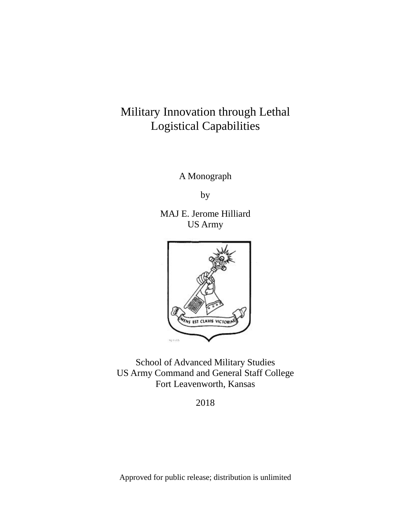# Military Innovation through Lethal Logistical Capabilities

A Monograph

by

MAJ E. Jerome Hilliard US Army



School of Advanced Military Studies US Army Command and General Staff College Fort Leavenworth, Kansas

2018

Approved for public release; distribution is unlimited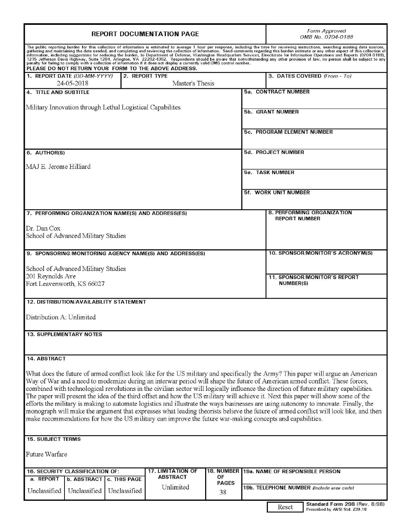| <b>REPORT DOCUMENTATION PAGE</b>                                                                                                                                                                                                                                                                                                                                                                                                                                                                                                                                                                                                                                                                                                                                                                                                                                                                                                                               |              |                                   | Form Approved<br>OMB No. 0704-0188                                       |  |
|----------------------------------------------------------------------------------------------------------------------------------------------------------------------------------------------------------------------------------------------------------------------------------------------------------------------------------------------------------------------------------------------------------------------------------------------------------------------------------------------------------------------------------------------------------------------------------------------------------------------------------------------------------------------------------------------------------------------------------------------------------------------------------------------------------------------------------------------------------------------------------------------------------------------------------------------------------------|--------------|-----------------------------------|--------------------------------------------------------------------------|--|
| The public reporting burden for this collection of information is estimated to average 1 hour per response, including the time for reviewing instructions, searching existing data sources, gathering and maintaining the data<br>information, including suggestions for reducing the burden, to Department of Defense, Washington Headquarters Services, Directorate for Information Operations and Reports (0704-0188),<br>1215 Jefferson Davis Highway, Suite 1204, Arlington, VA 22202-4302. Respondents should be aware that notwithstanding any other provision of law, no person shall be subject to any penalty for failing to comply with a collec<br>PLEASE DO NOT RETURN YOUR FORM TO THE ABOVE ADDRESS.                                                                                                                                                                                                                                            |              |                                   |                                                                          |  |
| 1. REPORT DATE (DD-MM-YYYY)<br>2. REPORT TYPE<br>Master's Thesis<br>24-05-2018                                                                                                                                                                                                                                                                                                                                                                                                                                                                                                                                                                                                                                                                                                                                                                                                                                                                                 |              |                                   | 3. DATES COVERED (From - To)                                             |  |
| 4. TITLE AND SUBTITLE                                                                                                                                                                                                                                                                                                                                                                                                                                                                                                                                                                                                                                                                                                                                                                                                                                                                                                                                          |              |                                   | 5a. CONTRACT NUMBER                                                      |  |
| Military Innovation through Lethal Logistical Capabilites                                                                                                                                                                                                                                                                                                                                                                                                                                                                                                                                                                                                                                                                                                                                                                                                                                                                                                      |              | <b>5b. GRANT NUMBER</b>           |                                                                          |  |
|                                                                                                                                                                                                                                                                                                                                                                                                                                                                                                                                                                                                                                                                                                                                                                                                                                                                                                                                                                |              | <b>5c. PROGRAM ELEMENT NUMBER</b> |                                                                          |  |
| 6. AUTHOR(S)                                                                                                                                                                                                                                                                                                                                                                                                                                                                                                                                                                                                                                                                                                                                                                                                                                                                                                                                                   |              |                                   | 5d. PROJECT NUMBER                                                       |  |
| MAJ E. Jerome Hilliard                                                                                                                                                                                                                                                                                                                                                                                                                                                                                                                                                                                                                                                                                                                                                                                                                                                                                                                                         |              |                                   |                                                                          |  |
|                                                                                                                                                                                                                                                                                                                                                                                                                                                                                                                                                                                                                                                                                                                                                                                                                                                                                                                                                                |              | <b>5e. TASK NUMBER</b>            |                                                                          |  |
|                                                                                                                                                                                                                                                                                                                                                                                                                                                                                                                                                                                                                                                                                                                                                                                                                                                                                                                                                                |              |                                   | 5f. WORK UNIT NUMBER                                                     |  |
| 7. PERFORMING ORGANIZATION NAME(S) AND ADDRESS(ES)                                                                                                                                                                                                                                                                                                                                                                                                                                                                                                                                                                                                                                                                                                                                                                                                                                                                                                             |              |                                   | 8. PERFORMING ORGANIZATION<br><b>REPORT NUMBER</b>                       |  |
| Dr. Dan Cox<br>School of Advanced Military Studies                                                                                                                                                                                                                                                                                                                                                                                                                                                                                                                                                                                                                                                                                                                                                                                                                                                                                                             |              |                                   |                                                                          |  |
| 9. SPONSORING/MONITORING AGENCY NAME(S) AND ADDRESS(ES)                                                                                                                                                                                                                                                                                                                                                                                                                                                                                                                                                                                                                                                                                                                                                                                                                                                                                                        |              |                                   | 10. SPONSOR/MONITOR'S ACRONYM(S)                                         |  |
| School of Advanced Military Studies                                                                                                                                                                                                                                                                                                                                                                                                                                                                                                                                                                                                                                                                                                                                                                                                                                                                                                                            |              |                                   |                                                                          |  |
| 201 Reynolds Ave<br>Fort Leavenworth, KS 66027                                                                                                                                                                                                                                                                                                                                                                                                                                                                                                                                                                                                                                                                                                                                                                                                                                                                                                                 |              |                                   | <b>11. SPONSOR/MONITOR'S REPORT</b><br><b>NUMBER(S)</b>                  |  |
| 12. DISTRIBUTION/AVAILABILITY STATEMENT                                                                                                                                                                                                                                                                                                                                                                                                                                                                                                                                                                                                                                                                                                                                                                                                                                                                                                                        |              |                                   |                                                                          |  |
| Distribution A: Unlimited                                                                                                                                                                                                                                                                                                                                                                                                                                                                                                                                                                                                                                                                                                                                                                                                                                                                                                                                      |              |                                   |                                                                          |  |
| <b>13. SUPPLEMENTARY NOTES</b>                                                                                                                                                                                                                                                                                                                                                                                                                                                                                                                                                                                                                                                                                                                                                                                                                                                                                                                                 |              |                                   |                                                                          |  |
|                                                                                                                                                                                                                                                                                                                                                                                                                                                                                                                                                                                                                                                                                                                                                                                                                                                                                                                                                                |              |                                   |                                                                          |  |
| 14. ABSTRACT<br>What does the future of armed conflict look like for the US military and specifically the Army? This paper will argue an American<br>Way of War and a need to modernize during an interwar period will shape the future of American armed conflict. These forces,<br>combined with technological revolutions in the civilian sector will logically influence the direction of future military capabilities.<br>The paper will present the idea of the third offset and how the US military will achieve it. Next this paper will show some of the<br>efforts the military is making to automate logistics and illustrate the ways businesses are using autonomy to innovate. Finally, the<br>monograph will make the argument that expresses what leading theorists believe the future of armed conflict will look like, and then<br>make recommendations for how the US military can improve the future war-making concepts and capabilities. |              |                                   |                                                                          |  |
| <b>15. SUBJECT TERMS</b>                                                                                                                                                                                                                                                                                                                                                                                                                                                                                                                                                                                                                                                                                                                                                                                                                                                                                                                                       |              |                                   |                                                                          |  |
| Future Warfare                                                                                                                                                                                                                                                                                                                                                                                                                                                                                                                                                                                                                                                                                                                                                                                                                                                                                                                                                 |              |                                   |                                                                          |  |
| <b>17. LIMITATION OF</b><br>16. SECURITY CLASSIFICATION OF:<br><b>ABSTRACT</b><br>OF<br>a. REPORT<br><b>b. ABSTRACT</b><br>c. THIS PAGE                                                                                                                                                                                                                                                                                                                                                                                                                                                                                                                                                                                                                                                                                                                                                                                                                        |              |                                   | 18. NUMBER 19a. NAME OF RESPONSIBLE PERSON                               |  |
| Unlimited<br>Unclassified<br>Unclassified<br>Unclassified<br>38                                                                                                                                                                                                                                                                                                                                                                                                                                                                                                                                                                                                                                                                                                                                                                                                                                                                                                | <b>PAGES</b> |                                   | 19b. TELEPHONE NUMBER (Include area code)                                |  |
|                                                                                                                                                                                                                                                                                                                                                                                                                                                                                                                                                                                                                                                                                                                                                                                                                                                                                                                                                                |              |                                   | Standard Form 298 (Rev. 8/98)<br>Reset<br>Prescribed by ANSI Std. Z39.18 |  |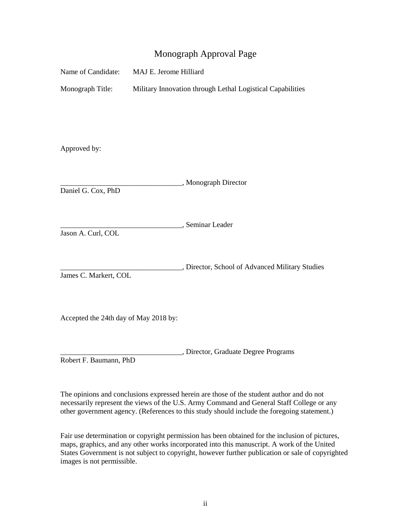## Monograph Approval Page

| Name of Candidate:                    | MAJ E. Jerome Hilliard                                     |  |
|---------------------------------------|------------------------------------------------------------|--|
| Monograph Title:                      | Military Innovation through Lethal Logistical Capabilities |  |
|                                       |                                                            |  |
|                                       |                                                            |  |
|                                       |                                                            |  |
| Approved by:                          |                                                            |  |
|                                       | _, Monograph Director                                      |  |
| Daniel G. Cox, PhD                    |                                                            |  |
|                                       |                                                            |  |
| Jason A. Curl, COL                    | , Seminar Leader                                           |  |
|                                       |                                                            |  |
|                                       | , Director, School of Advanced Military Studies            |  |
| James C. Markert, COL                 |                                                            |  |
|                                       |                                                            |  |
| Accepted the 24th day of May 2018 by: |                                                            |  |
|                                       |                                                            |  |
|                                       | , Director, Graduate Degree Programs                       |  |
| Robert F. Baumann, PhD                |                                                            |  |

 The opinions and conclusions expressed herein are those of the student author and do not other government agency. (References to this study should include the foregoing statement.) necessarily represent the views of the U.S. Army Command and General Staff College or any

 Fair use determination or copyright permission has been obtained for the inclusion of pictures, maps, graphics, and any other works incorporated into this manuscript. A work of the United States Government is not subject to copyright, however further publication or sale of copyrighted images is not permissible.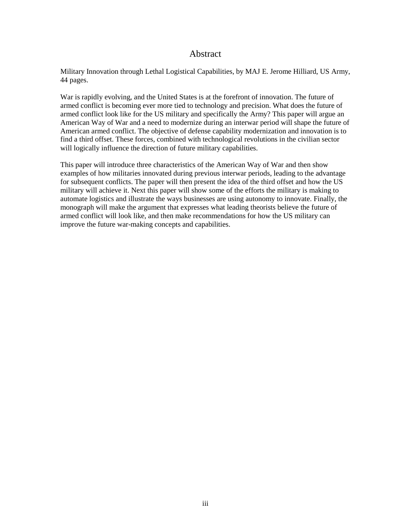### Abstract

<span id="page-3-0"></span> 44 pages. Military Innovation through Lethal Logistical Capabilities, by MAJ E. Jerome Hilliard, US Army,

 War is rapidly evolving, and the United States is at the forefront of innovation. The future of armed conflict is becoming ever more tied to technology and precision. What does the future of American Way of War and a need to modernize during an interwar period will shape the future of American armed conflict. The objective of defense capability modernization and innovation is to armed conflict look like for the US military and specifically the Army? This paper will argue an find a third offset. These forces, combined with technological revolutions in the civilian sector will logically influence the direction of future military capabilities.

 military will achieve it. Next this paper will show some of the efforts the military is making to This paper will introduce three characteristics of the American Way of War and then show examples of how militaries innovated during previous interwar periods, leading to the advantage for subsequent conflicts. The paper will then present the idea of the third offset and how the US automate logistics and illustrate the ways businesses are using autonomy to innovate. Finally, the monograph will make the argument that expresses what leading theorists believe the future of armed conflict will look like, and then make recommendations for how the US military can improve the future war-making concepts and capabilities.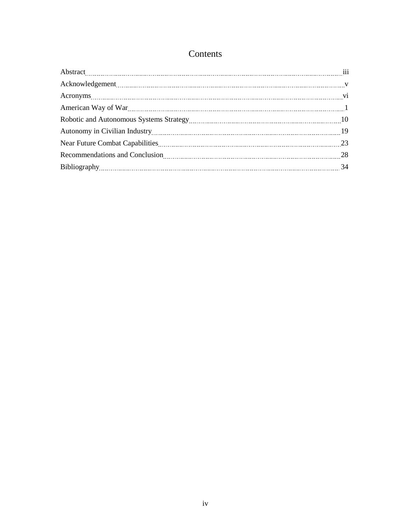# Contents

| Acknowledgement Value of the Contract of the Contract of Contract of Contract of Contract of Contract of Contract of Contract of Contract of Contract of Contract of Contract of Contract of Contract of Contract of Contract |  |
|-------------------------------------------------------------------------------------------------------------------------------------------------------------------------------------------------------------------------------|--|
|                                                                                                                                                                                                                               |  |
|                                                                                                                                                                                                                               |  |
|                                                                                                                                                                                                                               |  |
|                                                                                                                                                                                                                               |  |
|                                                                                                                                                                                                                               |  |
|                                                                                                                                                                                                                               |  |
|                                                                                                                                                                                                                               |  |
|                                                                                                                                                                                                                               |  |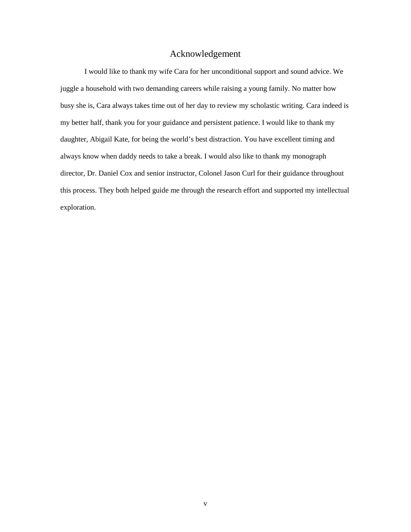### Acknowledgement

<span id="page-5-0"></span>I would like to thank my wife Cara for her unconditional support and sound advice. We juggle a household with two demanding careers while raising a young family. No matter how busy she is, Cara always takes time out of her day to review my scholastic writing. Cara indeed is my better half, thank you for your guidance and persistent patience. I would like to thank my daughter, Abigail Kate, for being the world's best distraction. You have excellent timing and always know when daddy needs to take a break. I would also like to thank my monograph director, Dr. Daniel Cox and senior instructor, Colonel Jason Curl for their guidance throughout this process. They both helped guide me through the research effort and supported my intellectual exploration.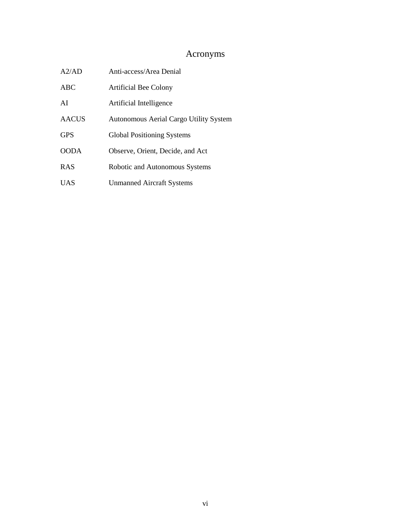# Acronyms

<span id="page-6-0"></span>

| A2/AD        | Anti-access/Area Denial                |
|--------------|----------------------------------------|
| <b>ABC</b>   | Artificial Bee Colony                  |
| AI           | Artificial Intelligence                |
| <b>AACUS</b> | Autonomous Aerial Cargo Utility System |
| <b>GPS</b>   | <b>Global Positioning Systems</b>      |
| <b>OODA</b>  | Observe, Orient, Decide, and Act       |
| <b>RAS</b>   | Robotic and Autonomous Systems         |
| <b>UAS</b>   | <b>Unmanned Aircraft Systems</b>       |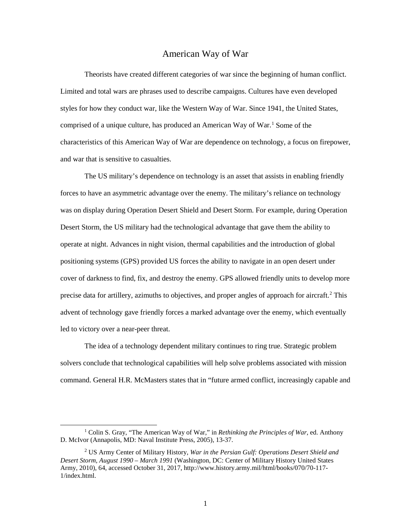#### American Way of War

<span id="page-7-0"></span> styles for how they conduct war, like the Western Way of War. Since 1941, the United States, comprised of a unique culture, has produced an American Way of War.<sup>[1](#page-7-1)</sup> Some of the characteristics of this American Way of War are dependence on technology, a focus on firepower, Theorists have created different categories of war since the beginning of human conflict. Limited and total wars are phrases used to describe campaigns. Cultures have even developed and war that is sensitive to casualties.

 Desert Storm, the US military had the technological advantage that gave them the ability to positioning systems (GPS) provided US forces the ability to navigate in an open desert under The US military's dependence on technology is an asset that assists in enabling friendly forces to have an asymmetric advantage over the enemy. The military's reliance on technology was on display during Operation Desert Shield and Desert Storm. For example, during Operation operate at night. Advances in night vision, thermal capabilities and the introduction of global cover of darkness to find, fix, and destroy the enemy. GPS allowed friendly units to develop more precise data for artillery, azimuths to objectives, and proper angles of approach for aircraft.<sup>2</sup> This advent of technology gave friendly forces a marked advantage over the enemy, which eventually led to victory over a near-peer threat.

The idea of a technology dependent military continues to ring true. Strategic problem solvers conclude that technological capabilities will help solve problems associated with mission command. General H.R. McMasters states that in "future armed conflict, increasingly capable and

<span id="page-7-1"></span><sup>&</sup>lt;sup>1</sup> Colin S. Gray, "The American Way of War," in *Rethinking the Principles of War*, ed. Anthony D. McIvor (Annapolis, MD: Naval Institute Press, 2005), 13-37.

<span id="page-7-2"></span> 2 US Army Center of Military History, *War in the Persian Gulf: Operations Desert Shield and Desert Storm, August 1990 – March 1991* (Washington, DC: Center of Military History United States Army, 2010), 64, accessed October 31, 2017,<http://www.history.army.mil/html/books/070/70-117>- 1/index.html.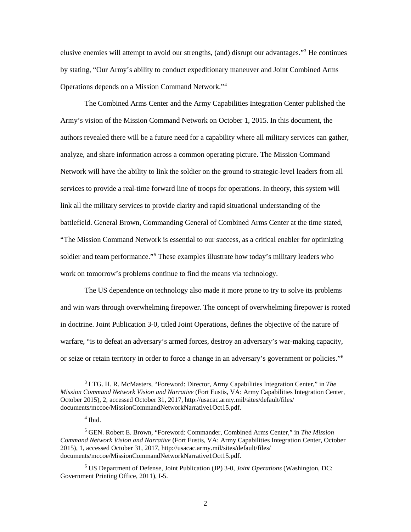elusive enemies will attempt to avoid our strengths, (and) disrupt our advantages."[3](#page-8-0) He continues by stating, "Our Army's ability to conduct expeditionary maneuver and Joint Combined Arms Operations depends on a Mission Command Network."[4](#page-8-1)

 authors revealed there will be a future need for a capability where all military services can gather, services to provide a real-time forward line of troops for operations. In theory, this system will The Combined Arms Center and the Army Capabilities Integration Center published the Army's vision of the Mission Command Network on October 1, 2015. In this document, the analyze, and share information across a common operating picture. The Mission Command Network will have the ability to link the soldier on the ground to strategic-level leaders from all link all the military services to provide clarity and rapid situational understanding of the battlefield. General Brown, Commanding General of Combined Arms Center at the time stated, "The Mission Command Network is essential to our success, as a critical enabler for optimizing soldier and team performance."[5](#page-8-2) These examples illustrate how today's military leaders who work on tomorrow's problems continue to find the means via technology.

 and win wars through overwhelming firepower. The concept of overwhelming firepower is rooted The US dependence on technology also made it more prone to try to solve its problems in doctrine. Joint Publication 3-0, titled Joint Operations, defines the objective of the nature of warfare, "is to defeat an adversary's armed forces, destroy an adversary's war-making capacity, or seize or retain territory in order to force a change in an adversary's government or policies."[6](#page-8-3) 

<span id="page-8-0"></span> 3 LTG. H. R. McMasters, "Foreword: Director, Army Capabilities Integration Center," in *The Mission Command Network Vision and Narrative* (Fort Eustis, VA: Army Capabilities Integration Center, October 2015), 2, accessed October 31, 2017, [http://usacac.army.mil/sites/default/files/](http://usacac.army.mil/sites/default/files) documents/mccoe/MissionCommandNetworkNarrative1Oct15.pdf.

 $<sup>4</sup>$  Ibid.</sup>

<span id="page-8-2"></span><span id="page-8-1"></span><sup>5</sup> GEN. Robert E. Brown, "Foreword: Commander, Combined Arms Center," in *The Mission Command Network Vision and Narrative* (Fort Eustis, VA: Army Capabilities Integration Center, October 2015), 1, accessed October 31, 2017, [http://usacac.army.mil/sites/default/files/](http://usacac.army.mil/sites/default/files) documents/mccoe/MissionCommandNetworkNarrative1Oct15.pdf.

<span id="page-8-3"></span> Government Printing Office, 2011), I-5. 6 US Department of Defense, Joint Publication (JP) 3-0, *Joint Operations* (Washington, DC: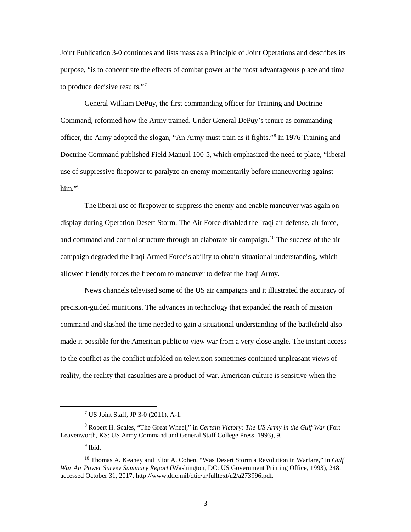Joint Publication 3-0 continues and lists mass as a Principle of Joint Operations and describes its purpose, "is to concentrate the effects of combat power at the most advantageous place and time to produce decisive results."[7](#page-9-0) 

 General William DePuy, the first commanding officer for Training and Doctrine Command, reformed how the Army trained. Under General DePuy's tenure as commanding officer, the Army adopted the slogan, "An Army must train as it fights."[8](#page-9-1) In 1976 Training and Doctrine Command published Field Manual 100-5, which emphasized the need to place, "liberal use of suppressive firepower to paralyze an enemy momentarily before maneuvering against him."[9](#page-9-2) 

 The liberal use of firepower to suppress the enemy and enable maneuver was again on and command and control structure through an elaborate air campaign.<sup>[10](#page-9-3)</sup> The success of the air display during Operation Desert Storm. The Air Force disabled the Iraqi air defense, air force, campaign degraded the Iraqi Armed Force's ability to obtain situational understanding, which allowed friendly forces the freedom to maneuver to defeat the Iraqi Army.

News channels televised some of the US air campaigns and it illustrated the accuracy of precision-guided munitions. The advances in technology that expanded the reach of mission command and slashed the time needed to gain a situational understanding of the battlefield also made it possible for the American public to view war from a very close angle. The instant access to the conflict as the conflict unfolded on television sometimes contained unpleasant views of reality, the reality that casualties are a product of war. American culture is sensitive when the

<sup>9</sup> Ibid.

 $7$  US Joint Staff, JP 3-0 (2011), A-1.

<span id="page-9-1"></span><span id="page-9-0"></span> Leavenworth, KS: US Army Command and General Staff College Press, 1993), 9. 8 Robert H. Scales, "The Great Wheel," in *Certain Victory: The US Army in the Gulf War* (Fort

<span id="page-9-3"></span><span id="page-9-2"></span><sup>10</sup> Thomas A. Keaney and Eliot A. Cohen, "Was Desert Storm a Revolution in Warfare," in *Gulf War Air Power Survey Summary Report* (Washington, DC: US Government Printing Office, 1993), 248, accessed October 31, 2017,<http://www.dtic.mil/dtic/tr/fulltext/u2/a273996.pdf>.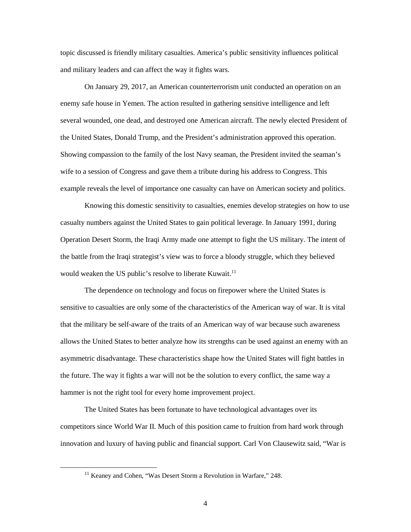and military leaders and can affect the way it fights wars. topic discussed is friendly military casualties. America's public sensitivity influences political

 enemy safe house in Yemen. The action resulted in gathering sensitive intelligence and left several wounded, one dead, and destroyed one American aircraft. The newly elected President of Showing compassion to the family of the lost Navy seaman, the President invited the seaman's On January 29, 2017, an American counterterrorism unit conducted an operation on an the United States, Donald Trump, and the President's administration approved this operation. wife to a session of Congress and gave them a tribute during his address to Congress. This example reveals the level of importance one casualty can have on American society and politics.

Knowing this domestic sensitivity to casualties, enemies develop strategies on how to use casualty numbers against the United States to gain political leverage. In January 1991, during Operation Desert Storm, the Iraqi Army made one attempt to fight the US military. The intent of the battle from the Iraqi strategist's view was to force a bloody struggle, which they believed would weaken the US public's resolve to liberate Kuwait.<sup>11</sup>

 allows the United States to better analyze how its strengths can be used against an enemy with an the future. The way it fights a war will not be the solution to every conflict, the same way a The dependence on technology and focus on firepower where the United States is sensitive to casualties are only some of the characteristics of the American way of war. It is vital that the military be self-aware of the traits of an American way of war because such awareness asymmetric disadvantage. These characteristics shape how the United States will fight battles in hammer is not the right tool for every home improvement project.

The United States has been fortunate to have technological advantages over its competitors since World War II. Much of this position came to fruition from hard work through innovation and luxury of having public and financial support. Carl Von Clausewitz said, "War is

<span id="page-10-0"></span><sup>&</sup>lt;sup>11</sup> Keaney and Cohen, "Was Desert Storm a Revolution in Warfare," 248.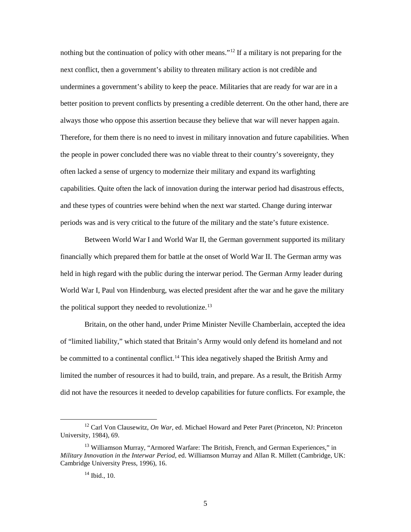better position to prevent conflicts by presenting a credible deterrent. On the other hand, there are always those who oppose this assertion because they believe that war will never happen again. the people in power concluded there was no viable threat to their country's sovereignty, they nothing but the continuation of policy with other means."<sup>[12](#page-11-0)</sup> If a military is not preparing for the next conflict, then a government's ability to threaten military action is not credible and undermines a government's ability to keep the peace. Militaries that are ready for war are in a Therefore, for them there is no need to invest in military innovation and future capabilities. When often lacked a sense of urgency to modernize their military and expand its warfighting capabilities. Quite often the lack of innovation during the interwar period had disastrous effects, and these types of countries were behind when the next war started. Change during interwar periods was and is very critical to the future of the military and the state's future existence.

 Between World War I and World War II, the German government supported its military financially which prepared them for battle at the onset of World War II. The German army was held in high regard with the public during the interwar period. The German Army leader during World War I, Paul von Hindenburg, was elected president after the war and he gave the military the political support they needed to revolutionize.<sup>13</sup>

 of "limited liability," which stated that Britain's Army would only defend its homeland and not limited the number of resources it had to build, train, and prepare. As a result, the British Army Britain, on the other hand, under Prime Minister Neville Chamberlain, accepted the idea be committed to a continental conflict.<sup>[14](#page-11-2)</sup> This idea negatively shaped the British Army and did not have the resources it needed to develop capabilities for future conflicts. For example, the

<span id="page-11-0"></span><sup>&</sup>lt;sup>12</sup> Carl Von Clausewitz, *On War*, ed. Michael Howard and Peter Paret (Princeton, NJ: Princeton University, 1984), 69.

<span id="page-11-2"></span><span id="page-11-1"></span> *Military Innovation in the Interwar Period*, ed. Williamson Murray and Allan R. Millett (Cambridge, UK: <sup>13</sup> Williamson Murray, "Armored Warfare: The British, French, and German Experiences," in Cambridge University Press, 1996), 16.

 $14$  Ibid., 10.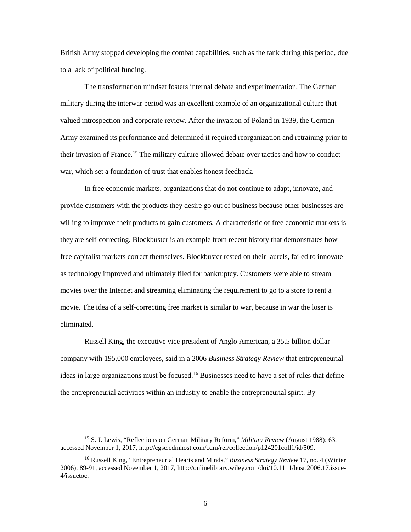British Army stopped developing the combat capabilities, such as the tank during this period, due to a lack of political funding.

The transformation mindset fosters internal debate and experimentation. The German military during the interwar period was an excellent example of an organizational culture that valued introspection and corporate review. After the invasion of Poland in 1939, the German Army examined its performance and determined it required reorganization and retraining prior to their invasion of France.[15](#page-12-0) The military culture allowed debate over tactics and how to conduct war, which set a foundation of trust that enables honest feedback.

 provide customers with the products they desire go out of business because other businesses are free capitalist markets correct themselves. Blockbuster rested on their laurels, failed to innovate movies over the Internet and streaming eliminating the requirement to go to a store to rent a In free economic markets, organizations that do not continue to adapt, innovate, and willing to improve their products to gain customers. A characteristic of free economic markets is they are self-correcting. Blockbuster is an example from recent history that demonstrates how as technology improved and ultimately filed for bankruptcy. Customers were able to stream movie. The idea of a self-correcting free market is similar to war, because in war the loser is eliminated.

 the entrepreneurial activities within an industry to enable the entrepreneurial spirit. By Russell King, the executive vice president of Anglo American, a 35.5 billion dollar company with 195,000 employees, said in a 2006 *Business Strategy Review* that entrepreneurial ideas in large organizations must be focused.[16](#page-12-1) Businesses need to have a set of rules that define

 $\ddot{\phantom{a}}$ 

<span id="page-12-0"></span><sup>15</sup> S. J. Lewis, "Reflections on German Military Reform," *Military Review* (August 1988): 63, accessed November 1, 2017,<http://cgsc.cdmhost.com/cdm/ref/collection/p124201coll1/id/509>.

<span id="page-12-1"></span><sup>16</sup> Russell King, "Entrepreneurial Hearts and Minds," *Business Strategy Review* 17, no. 4 (Winter 2006): 89-91, accessed November 1, 2017,<http://onlinelibrary.wiley.com/doi/10.1111/busr.2006.17.issue>-4/issuetoc.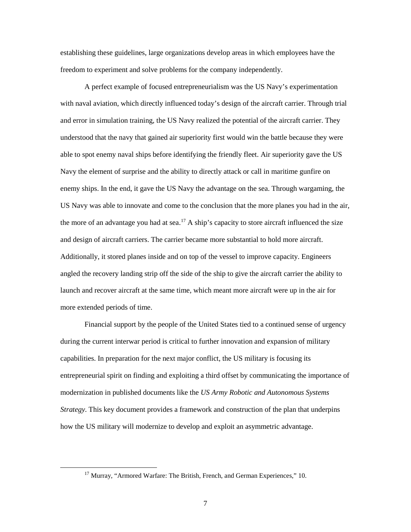establishing these guidelines, large organizations develop areas in which employees have the freedom to experiment and solve problems for the company independently.

 with naval aviation, which directly influenced today's design of the aircraft carrier. Through trial and error in simulation training, the US Navy realized the potential of the aircraft carrier. They understood that the navy that gained air superiority first would win the battle because they were Navy the element of surprise and the ability to directly attack or call in maritime gunfire on US Navy was able to innovate and come to the conclusion that the more planes you had in the air, the more of an advantage you had at sea.<sup>17</sup> A ship's capacity to store aircraft influenced the size and design of aircraft carriers. The carrier became more substantial to hold more aircraft. Additionally, it stored planes inside and on top of the vessel to improve capacity. Engineers A perfect example of focused entrepreneurialism was the US Navy's experimentation able to spot enemy naval ships before identifying the friendly fleet. Air superiority gave the US enemy ships. In the end, it gave the US Navy the advantage on the sea. Through wargaming, the angled the recovery landing strip off the side of the ship to give the aircraft carrier the ability to launch and recover aircraft at the same time, which meant more aircraft were up in the air for more extended periods of time.

 during the current interwar period is critical to further innovation and expansion of military modernization in published documents like the *US Army Robotic and Autonomous Systems*  Financial support by the people of the United States tied to a continued sense of urgency capabilities. In preparation for the next major conflict, the US military is focusing its entrepreneurial spirit on finding and exploiting a third offset by communicating the importance of *Strategy*. This key document provides a framework and construction of the plan that underpins how the US military will modernize to develop and exploit an asymmetric advantage.

<span id="page-13-0"></span><sup>&</sup>lt;sup>17</sup> Murray, "Armored Warfare: The British, French, and German Experiences," 10.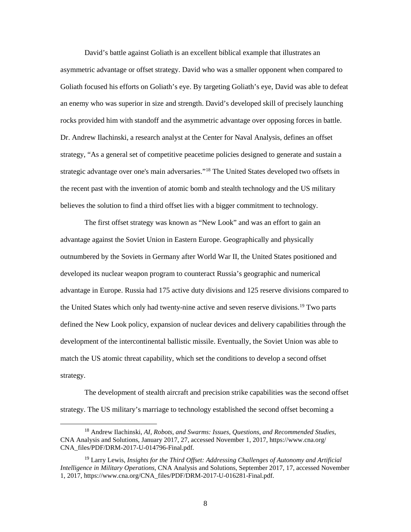Dr. Andrew Ilachinski, a research analyst at the Center for Naval Analysis, defines an offset strategy, "As a general set of competitive peacetime policies designed to generate and sustain a strategic advantage over one's main adversaries."<sup>18</sup> The United States developed two offsets in the recent past with the invention of atomic bomb and stealth technology and the US military believes the solution to find a third offset lies with a bigger commitment to technology. David's battle against Goliath is an excellent biblical example that illustrates an asymmetric advantage or offset strategy. David who was a smaller opponent when compared to Goliath focused his efforts on Goliath's eye. By targeting Goliath's eye, David was able to defeat an enemy who was superior in size and strength. David's developed skill of precisely launching rocks provided him with standoff and the asymmetric advantage over opposing forces in battle.

 defined the New Look policy, expansion of nuclear devices and delivery capabilities through the The first offset strategy was known as "New Look" and was an effort to gain an advantage against the Soviet Union in Eastern Europe. Geographically and physically outnumbered by the Soviets in Germany after World War II, the United States positioned and developed its nuclear weapon program to counteract Russia's geographic and numerical advantage in Europe. Russia had 175 active duty divisions and 125 reserve divisions compared to the United States which only had twenty-nine active and seven reserve divisions.<sup>19</sup> Two parts development of the intercontinental ballistic missile. Eventually, the Soviet Union was able to match the US atomic threat capability, which set the conditions to develop a second offset strategy.

 The development of stealth aircraft and precision strike capabilities was the second offset strategy. The US military's marriage to technology established the second offset becoming a

<span id="page-14-0"></span><sup>18</sup> Andrew Ilachinski, *AI, Robots, and Swarms: Issues, Questions, and Recommended Studies*, CNA Analysis and Solutions, January 2017, 27, accessed November 1, 2017, <https://www.cna.org>/ CNA\_files/PDF/DRM-2017-U-014796-Final.pdf.

<span id="page-14-1"></span><sup>19</sup> Larry Lewis, *Insights for the Third Offset: Addressing Challenges of Autonomy and Artificial Intelligence in Military Operations*, CNA Analysis and Solutions, September 2017, 17, accessed November 1, 2017, [https://www.cna.org/CNA\\_files/PDF/DRM-2017-U-016281-Final.pdf](https://www.cna.org/CNA_files/PDF/DRM-2017-U-016281-Final.pdf).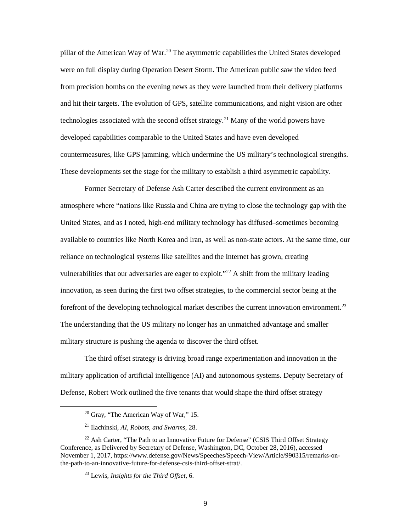These developments set the stage for the military to establish a third asymmetric capability. pillar of the American Way of War.<sup>20</sup> The asymmetric capabilities the United States developed were on full display during Operation Desert Storm. The American public saw the video feed from precision bombs on the evening news as they were launched from their delivery platforms and hit their targets. The evolution of GPS, satellite communications, and night vision are other technologies associated with the second offset strategy.<sup>21</sup> Many of the world powers have developed capabilities comparable to the United States and have even developed countermeasures, like GPS jamming, which undermine the US military's technological strengths.

 Former Secretary of Defense Ash Carter described the current environment as an atmosphere where "nations like Russia and China are trying to close the technology gap with the reliance on technological systems like satellites and the Internet has grown, creating United States, and as I noted, high-end military technology has diffused–sometimes becoming available to countries like North Korea and Iran, as well as non-state actors. At the same time, our vulnerabilities that our adversaries are eager to exploit."<sup>[22](#page-15-2)</sup> A shift from the military leading innovation, as seen during the first two offset strategies, to the commercial sector being at the forefront of the developing technological market describes the current innovation environment.<sup>[23](#page-15-3)</sup> The understanding that the US military no longer has an unmatched advantage and smaller military structure is pushing the agenda to discover the third offset.

The third offset strategy is driving broad range experimentation and innovation in the military application of artificial intelligence (AI) and autonomous systems. Deputy Secretary of Defense, Robert Work outlined the five tenants that would shape the third offset strategy

<span id="page-15-0"></span>-

 $20$  Gray, "The American Way of War," 15.

<sup>21</sup> Ilachinski, *AI, Robots, and Swarms*, 28.

<span id="page-15-3"></span><span id="page-15-2"></span><span id="page-15-1"></span><sup>&</sup>lt;sup>22</sup> Ash Carter, "The Path to an Innovative Future for Defense" (CSIS Third Offset Strategy Conference, as Delivered by Secretary of Defense, Washington, DC, October 28, 2016), accessed November 1, 2017, <https://www.defense.gov/News/Speeches/Speech-View/Article/990315/remarks-on>the-path-to-an-innovative-future-for-defense-csis-third-offset-strat/.

<sup>23</sup> Lewis, *Insights for the Third Offset*, 6.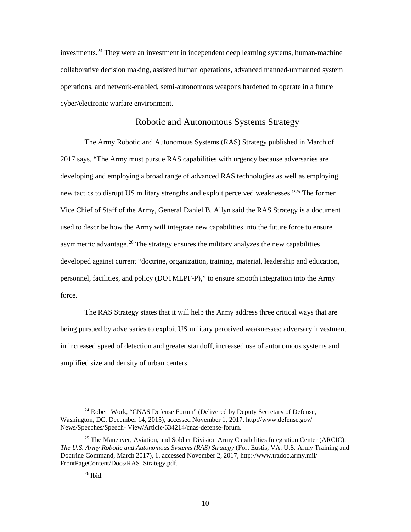<span id="page-16-0"></span>investments.<sup>24</sup> They were an investment in independent deep learning systems, human-machine operations, and network-enabled, semi-autonomous weapons hardened to operate in a future collaborative decision making, assisted human operations, advanced manned-unmanned system cyber/electronic warfare environment.

#### Robotic and Autonomous Systems Strategy

 developing and employing a broad range of advanced RAS technologies as well as employing developed against current "doctrine, organization, training, material, leadership and education, The Army Robotic and Autonomous Systems (RAS) Strategy published in March of 2017 says, "The Army must pursue RAS capabilities with urgency because adversaries are new tactics to disrupt US military strengths and exploit perceived weaknesses."<sup>[25](#page-16-2)</sup> The former Vice Chief of Staff of the Army, General Daniel B. Allyn said the RAS Strategy is a document used to describe how the Army will integrate new capabilities into the future force to ensure asymmetric advantage.<sup>26</sup> The strategy ensures the military analyzes the new capabilities personnel, facilities, and policy (DOTMLPF-P)," to ensure smooth integration into the Army force.

 in increased speed of detection and greater standoff, increased use of autonomous systems and The RAS Strategy states that it will help the Army address three critical ways that are being pursued by adversaries to exploit US military perceived weaknesses: adversary investment amplified size and density of urban centers.

<span id="page-16-1"></span><sup>&</sup>lt;sup>24</sup> Robert Work, "CNAS Defense Forum" (Delivered by Deputy Secretary of Defense, Washington, DC, December 14, 2015), accessed November 1, 2017,<http://www.defense.gov>/ News/Speeches/Speech- View/Article/634214/cnas-defense-forum.

<span id="page-16-3"></span><span id="page-16-2"></span><sup>&</sup>lt;sup>25</sup> The Maneuver, Aviation, and Soldier Division Army Capabilities Integration Center (ARCIC), *The U.S. Army Robotic and Autonomous Systems (RAS) Strategy* (Fort Eustis, VA: U.S. Army Training and Doctrine Command, March 2017), 1, accessed November 2, 2017,<http://www.tradoc.army.mil>/ FrontPageContent/Docs/RAS\_Strategy.pdf.

 $26$  Ibid.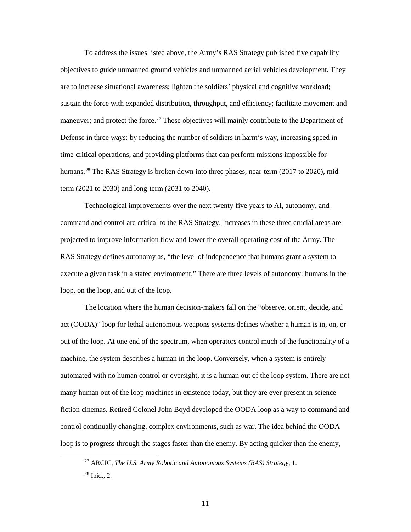are to increase situational awareness; lighten the soldiers' physical and cognitive workload; time-critical operations, and providing platforms that can perform missions impossible for term (2021 to 2030) and long-term (2031 to 2040). To address the issues listed above, the Army's RAS Strategy published five capability objectives to guide unmanned ground vehicles and unmanned aerial vehicles development. They sustain the force with expanded distribution, throughput, and efficiency; facilitate movement and maneuver; and protect the force.<sup>[27](#page-17-0)</sup> These objectives will mainly contribute to the Department of Defense in three ways: by reducing the number of soldiers in harm's way, increasing speed in humans.<sup>[28](#page-17-1)</sup> The RAS Strategy is broken down into three phases, near-term (2017 to 2020), mid-

 Technological improvements over the next twenty-five years to AI, autonomy, and command and control are critical to the RAS Strategy. Increases in these three crucial areas are RAS Strategy defines autonomy as, "the level of independence that humans grant a system to projected to improve information flow and lower the overall operating cost of the Army. The execute a given task in a stated environment." There are three levels of autonomy: humans in the loop, on the loop, and out of the loop.

 act (OODA)" loop for lethal autonomous weapons systems defines whether a human is in, on, or automated with no human control or oversight, it is a human out of the loop system. There are not loop is to progress through the stages faster than the enemy. By acting quicker than the enemy, The location where the human decision-makers fall on the "observe, orient, decide, and out of the loop. At one end of the spectrum, when operators control much of the functionality of a machine, the system describes a human in the loop. Conversely, when a system is entirely many human out of the loop machines in existence today, but they are ever present in science fiction cinemas. Retired Colonel John Boyd developed the OODA loop as a way to command and control continually changing, complex environments, such as war. The idea behind the OODA

<span id="page-17-1"></span><span id="page-17-0"></span>-

<sup>27</sup> ARCIC, *The U.S. Army Robotic and Autonomous Systems (RAS) Strategy*, 1.

 $^{28}$  Ibid., 2.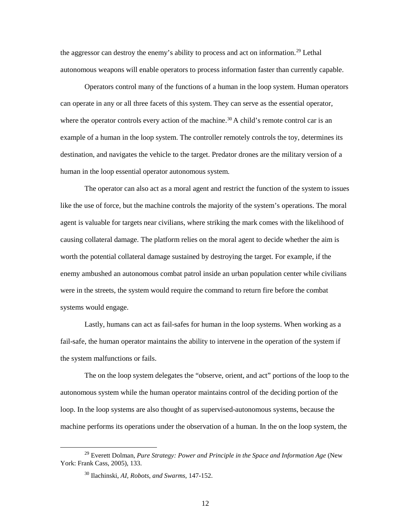the aggressor can destroy the enemy's ability to process and act on information.<sup>29</sup> Lethal autonomous weapons will enable operators to process information faster than currently capable.

 can operate in any or all three facets of this system. They can serve as the essential operator, where the operator controls every action of the machine.<sup>30</sup> A child's remote control car is an example of a human in the loop system. The controller remotely controls the toy, determines its destination, and navigates the vehicle to the target. Predator drones are the military version of a Operators control many of the functions of a human in the loop system. Human operators human in the loop essential operator autonomous system.

 The operator can also act as a moral agent and restrict the function of the system to issues like the use of force, but the machine controls the majority of the system's operations. The moral agent is valuable for targets near civilians, where striking the mark comes with the likelihood of worth the potential collateral damage sustained by destroying the target. For example, if the enemy ambushed an autonomous combat patrol inside an urban population center while civilians were in the streets, the system would require the command to return fire before the combat causing collateral damage. The platform relies on the moral agent to decide whether the aim is systems would engage.

 fail-safe, the human operator maintains the ability to intervene in the operation of the system if Lastly, humans can act as fail-safes for human in the loop systems. When working as a the system malfunctions or fails.

The on the loop system delegates the "observe, orient, and act" portions of the loop to the autonomous system while the human operator maintains control of the deciding portion of the loop. In the loop systems are also thought of as supervised-autonomous systems, because the machine performs its operations under the observation of a human. In the on the loop system, the

-

<span id="page-18-1"></span><span id="page-18-0"></span><sup>&</sup>lt;sup>29</sup> Everett Dolman, *Pure Strategy: Power and Principle in the Space and Information Age* (New York: Frank Cass, 2005), 133.

 30 Ilachinski, *AI, Robots, and Swarms*, 147-152.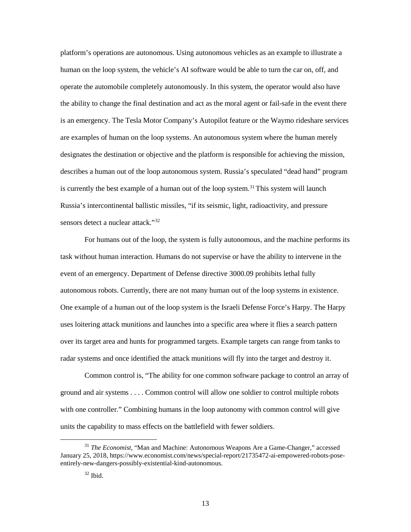human on the loop system, the vehicle's AI software would be able to turn the car on, off, and operate the automobile completely autonomously. In this system, the operator would also have is an emergency. The Tesla Motor Company's Autopilot feature or the Waymo rideshare services are examples of human on the loop systems. An autonomous system where the human merely platform's operations are autonomous. Using autonomous vehicles as an example to illustrate a the ability to change the final destination and act as the moral agent or fail-safe in the event there designates the destination or objective and the platform is responsible for achieving the mission, describes a human out of the loop autonomous system. Russia's speculated "dead hand" program is currently the best example of a human out of the loop system.<sup>[31](#page-19-0)</sup> This system will launch Russia's intercontinental ballistic missiles, "if its seismic, light, radioactivity, and pressure sensors detect a nuclear attack."[32](#page-19-1)

 For humans out of the loop, the system is fully autonomous, and the machine performs its event of an emergency. Department of Defense directive 3000.09 prohibits lethal fully autonomous robots. Currently, there are not many human out of the loop systems in existence. uses loitering attack munitions and launches into a specific area where it flies a search pattern task without human interaction. Humans do not supervise or have the ability to intervene in the One example of a human out of the loop system is the Israeli Defense Force's Harpy. The Harpy over its target area and hunts for programmed targets. Example targets can range from tanks to radar systems and once identified the attack munitions will fly into the target and destroy it.

 Common control is, "The ability for one common software package to control an array of ground and air systems . . . . Common control will allow one soldier to control multiple robots with one controller." Combining humans in the loop autonomy with common control will give units the capability to mass effects on the battlefield with fewer soldiers.

<span id="page-19-1"></span><span id="page-19-0"></span> <sup>31</sup>*The Economist*, "Man and Machine: Autonomous Weapons Are a Game-Changer," accessed January 25, 2018, <https://www.economist.com/news/special-report/21735472-ai-empowered-robots-pose>entirely-new-dangers-possibly-existential-kind-autonomous.

 $32$  Ibid.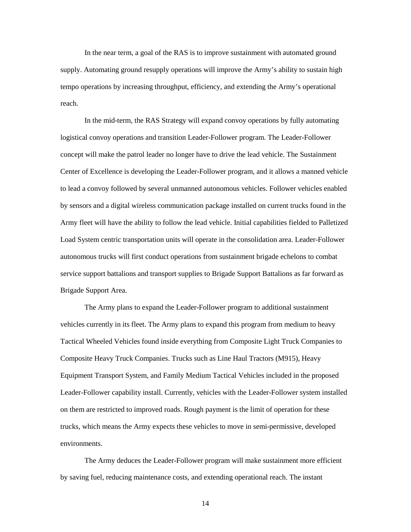In the near term, a goal of the RAS is to improve sustainment with automated ground supply. Automating ground resupply operations will improve the Army's ability to sustain high tempo operations by increasing throughput, efficiency, and extending the Army's operational reach.

 Center of Excellence is developing the Leader-Follower program, and it allows a manned vehicle service support battalions and transport supplies to Brigade Support Battalions as far forward as In the mid-term, the RAS Strategy will expand convoy operations by fully automating logistical convoy operations and transition Leader-Follower program. The Leader-Follower concept will make the patrol leader no longer have to drive the lead vehicle. The Sustainment to lead a convoy followed by several unmanned autonomous vehicles. Follower vehicles enabled by sensors and a digital wireless communication package installed on current trucks found in the Army fleet will have the ability to follow the lead vehicle. Initial capabilities fielded to Palletized Load System centric transportation units will operate in the consolidation area. Leader-Follower autonomous trucks will first conduct operations from sustainment brigade echelons to combat Brigade Support Area.

 Tactical Wheeled Vehicles found inside everything from Composite Light Truck Companies to Composite Heavy Truck Companies. Trucks such as Line Haul Tractors (M915), Heavy Leader-Follower capability install. Currently, vehicles with the Leader-Follower system installed on them are restricted to improved roads. Rough payment is the limit of operation for these The Army plans to expand the Leader-Follower program to additional sustainment vehicles currently in its fleet. The Army plans to expand this program from medium to heavy Equipment Transport System, and Family Medium Tactical Vehicles included in the proposed trucks, which means the Army expects these vehicles to move in semi-permissive, developed environments.

The Army deduces the Leader-Follower program will make sustainment more efficient by saving fuel, reducing maintenance costs, and extending operational reach. The instant

14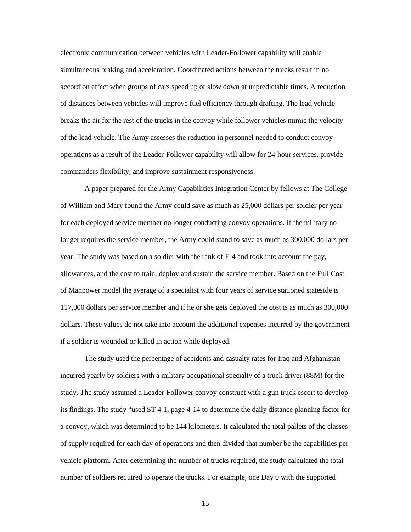accordion effect when groups of cars speed up or slow down at unpredictable times. A reduction breaks the air for the rest of the trucks in the convoy while follower vehicles mimic the velocity operations as a result of the Leader-Follower capability will allow for 24-hour services, provide electronic communication between vehicles with Leader-Follower capability will enable simultaneous braking and acceleration. Coordinated actions between the trucks result in no of distances between vehicles will improve fuel efficiency through drafting. The lead vehicle of the lead vehicle. The Army assesses the reduction in personnel needed to conduct convoy commanders flexibility, and improve sustainment responsiveness.

 A paper prepared for the Army Capabilities Integration Center by fellows at The College allowances, and the cost to train, deploy and sustain the service member. Based on the Full Cost 117,000 dollars per service member and if he or she gets deployed the cost is as much as 300,000 if a soldier is wounded or killed in action while deployed. of William and Mary found the Army could save as much as 25,000 dollars per soldier per year for each deployed service member no longer conducting convoy operations. If the military no longer requires the service member, the Army could stand to save as much as 300,000 dollars per year. The study was based on a soldier with the rank of E-4 and took into account the pay, of Manpower model the average of a specialist with four years of service stationed stateside is dollars. These values do not take into account the additional expenses incurred by the government

 incurred yearly by soldiers with a military occupational specialty of a truck driver (88M) for the its findings. The study "used ST 4-1, page 4-14 to determine the daily distance planning factor for of supply required for each day of operations and then divided that number be the capabilities per vehicle platform. After determining the number of trucks required, the study calculated the total number of soldiers required to operate the trucks. For example, one Day 0 with the supported The study used the percentage of accidents and casualty rates for Iraq and Afghanistan study. The study assumed a Leader-Follower convoy construct with a gun truck escort to develop a convoy, which was determined to be 144 kilometers. It calculated the total pallets of the classes

15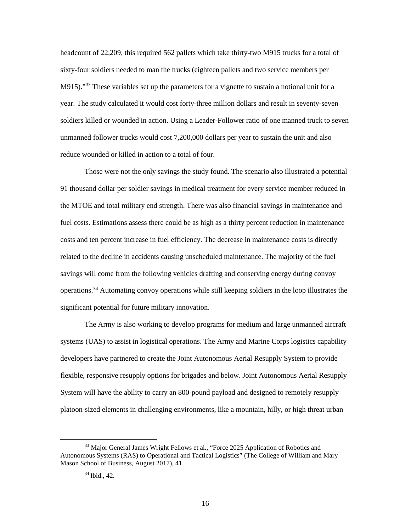headcount of 22,209, this required 562 pallets which take thirty-two M915 trucks for a total of M915)."<sup>[33](#page-22-0)</sup> These variables set up the parameters for a vignette to sustain a notional unit for a unmanned follower trucks would cost 7,200,000 dollars per year to sustain the unit and also reduce wounded or killed in action to a total of four. sixty-four soldiers needed to man the trucks (eighteen pallets and two service members per year. The study calculated it would cost forty-three million dollars and result in seventy-seven soldiers killed or wounded in action. Using a Leader-Follower ratio of one manned truck to seven

 fuel costs. Estimations assess there could be as high as a thirty percent reduction in maintenance costs and ten percent increase in fuel efficiency. The decrease in maintenance costs is directly operations.<sup>[34](#page-22-1)</sup> Automating convoy operations while still keeping soldiers in the loop illustrates the Those were not the only savings the study found. The scenario also illustrated a potential 91 thousand dollar per soldier savings in medical treatment for every service member reduced in the MTOE and total military end strength. There was also financial savings in maintenance and related to the decline in accidents causing unscheduled maintenance. The majority of the fuel savings will come from the following vehicles drafting and conserving energy during convoy significant potential for future military innovation.

 systems (UAS) to assist in logistical operations. The Army and Marine Corps logistics capability System will have the ability to carry an 800-pound payload and designed to remotely resupply The Army is also working to develop programs for medium and large unmanned aircraft developers have partnered to create the Joint Autonomous Aerial Resupply System to provide flexible, responsive resupply options for brigades and below. Joint Autonomous Aerial Resupply platoon-sized elements in challenging environments, like a mountain, hilly, or high threat urban

<span id="page-22-1"></span><span id="page-22-0"></span><sup>&</sup>lt;sup>33</sup> Major General James Wright Fellows et al., "Force 2025 Application of Robotics and Autonomous Systems (RAS) to Operational and Tactical Logistics" (The College of William and Mary Mason School of Business, August 2017), 41.

<sup>34</sup> Ibid., 42.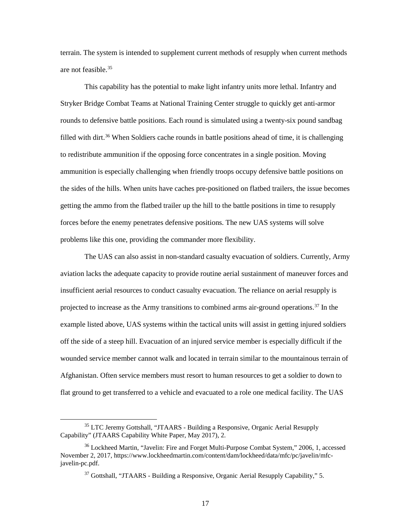terrain. The system is intended to supplement current methods of resupply when current methods are not feasible[.35](#page-23-0)

 Stryker Bridge Combat Teams at National Training Center struggle to quickly get anti-armor getting the ammo from the flatbed trailer up the hill to the battle positions in time to resupply This capability has the potential to make light infantry units more lethal. Infantry and rounds to defensive battle positions. Each round is simulated using a twenty-six pound sandbag filled with dirt.<sup>36</sup> When Soldiers cache rounds in battle positions ahead of time, it is challenging to redistribute ammunition if the opposing force concentrates in a single position. Moving ammunition is especially challenging when friendly troops occupy defensive battle positions on the sides of the hills. When units have caches pre-positioned on flatbed trailers, the issue becomes forces before the enemy penetrates defensive positions. The new UAS systems will solve problems like this one, providing the commander more flexibility.

projected to increase as the Army transitions to combined arms air-ground operations.<sup>37</sup> In the example listed above, UAS systems within the tactical units will assist in getting injured soldiers off the side of a steep hill. Evacuation of an injured service member is especially difficult if the wounded service member cannot walk and located in terrain similar to the mountainous terrain of Afghanistan. Often service members must resort to human resources to get a soldier to down to flat ground to get transferred to a vehicle and evacuated to a role one medical facility. The UAS The UAS can also assist in non-standard casualty evacuation of soldiers. Currently, Army aviation lacks the adequate capacity to provide routine aerial sustainment of maneuver forces and insufficient aerial resources to conduct casualty evacuation. The reliance on aerial resupply is

-

<span id="page-23-0"></span> Capability" (JTAARS Capability White Paper, May 2017), 2. <sup>35</sup> LTC Jeremy Gottshall, "JTAARS - Building a Responsive, Organic Aerial Resupply

<span id="page-23-2"></span><span id="page-23-1"></span><sup>&</sup>lt;sup>36</sup> Lockheed Martin, "Javelin: Fire and Forget Multi-Purpose Combat System," 2006, 1, accessed November 2, 2017, <https://www.lockheedmartin.com/content/dam/lockheed/data/mfc/pc/javelin/mfc>javelin-pc.pdf.

 $37$  Gottshall, "JTAARS - Building a Responsive, Organic Aerial Resupply Capability," 5.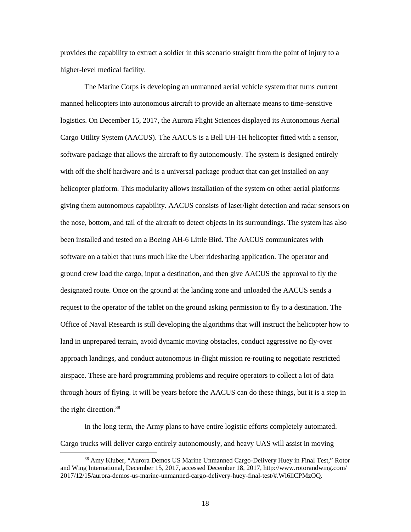provides the capability to extract a soldier in this scenario straight from the point of injury to a higher-level medical facility.

 helicopter platform. This modularity allows installation of the system on other aerial platforms software on a tablet that runs much like the Uber ridesharing application. The operator and designated route. Once on the ground at the landing zone and unloaded the AACUS sends a request to the operator of the tablet on the ground asking permission to fly to a destination. The Office of Naval Research is still developing the algorithms that will instruct the helicopter how to approach landings, and conduct autonomous in-flight mission re-routing to negotiate restricted through hours of flying. It will be years before the AACUS can do these things, but it is a step in The Marine Corps is developing an unmanned aerial vehicle system that turns current manned helicopters into autonomous aircraft to provide an alternate means to time-sensitive logistics. On December 15, 2017, the Aurora Flight Sciences displayed its Autonomous Aerial Cargo Utility System (AACUS). The AACUS is a Bell UH-1H helicopter fitted with a sensor, software package that allows the aircraft to fly autonomously. The system is designed entirely with off the shelf hardware and is a universal package product that can get installed on any giving them autonomous capability. AACUS consists of laser/light detection and radar sensors on the nose, bottom, and tail of the aircraft to detect objects in its surroundings. The system has also been installed and tested on a Boeing AH-6 Little Bird. The AACUS communicates with ground crew load the cargo, input a destination, and then give AACUS the approval to fly the land in unprepared terrain, avoid dynamic moving obstacles, conduct aggressive no fly-over airspace. These are hard programming problems and require operators to collect a lot of data the right direction. [38](#page-24-0)

 Cargo trucks will deliver cargo entirely autonomously, and heavy UAS will assist in moving In the long term, the Army plans to have entire logistic efforts completely automated.

<span id="page-24-0"></span><sup>38</sup> Amy Kluber, "Aurora Demos US Marine Unmanned Cargo-Delivery Huey in Final Test," Rotor and Wing International, December 15, 2017, accessed December 18, 2017, <http://www.rotorandwing.com>/ 2017/12/15/aurora-demos-us-marine-unmanned-cargo-delivery-huey-final-test/#.Wl6llCPMzOQ.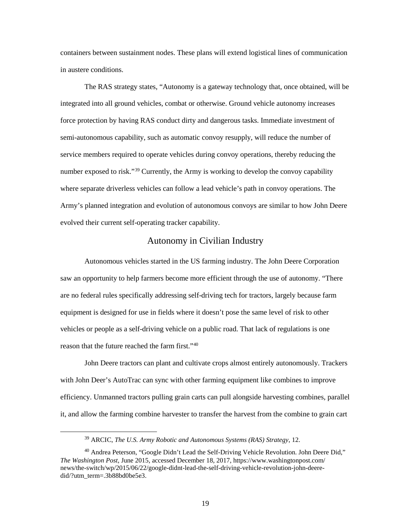<span id="page-25-0"></span>containers between sustainment nodes. These plans will extend logistical lines of communication in austere conditions.

 semi-autonomous capability, such as automatic convoy resupply, will reduce the number of The RAS strategy states, "Autonomy is a gateway technology that, once obtained, will be integrated into all ground vehicles, combat or otherwise. Ground vehicle autonomy increases force protection by having RAS conduct dirty and dangerous tasks. Immediate investment of service members required to operate vehicles during convoy operations, thereby reducing the number exposed to risk."<sup>[39](#page-25-1)</sup> Currently, the Army is working to develop the convoy capability where separate driverless vehicles can follow a lead vehicle's path in convoy operations. The Army's planned integration and evolution of autonomous convoys are similar to how John Deere evolved their current self-operating tracker capability.

#### Autonomy in Civilian Industry

 vehicles or people as a self-driving vehicle on a public road. That lack of regulations is one Autonomous vehicles started in the US farming industry. The John Deere Corporation saw an opportunity to help farmers become more efficient through the use of autonomy. "There are no federal rules specifically addressing self-driving tech for tractors, largely because farm equipment is designed for use in fields where it doesn't pose the same level of risk to other reason that the future reached the farm first.["40](#page-25-2)

 John Deere tractors can plant and cultivate crops almost entirely autonomously. Trackers with John Deer's AutoTrac can sync with other farming equipment like combines to improve it, and allow the farming combine harvester to transfer the harvest from the combine to grain cart efficiency. Unmanned tractors pulling grain carts can pull alongside harvesting combines, parallel

 39 ARCIC, *The U.S. Army Robotic and Autonomous Systems (RAS) Strategy*, 12.

<span id="page-25-2"></span><span id="page-25-1"></span><sup>&</sup>lt;sup>40</sup> Andrea Peterson, "Google Didn't Lead the Self-Driving Vehicle Revolution. John Deere Did," *The Washington Post*, June 2015, accessed December 18, 2017, [https://www.washingtonpost.com/](https://www.washingtonpost.com) news/the-switch/wp/2015/06/22/google-didnt-lead-the-self-driving-vehicle-revolution-john-deeredid/?utm\_term=.3b88bd0be5e3.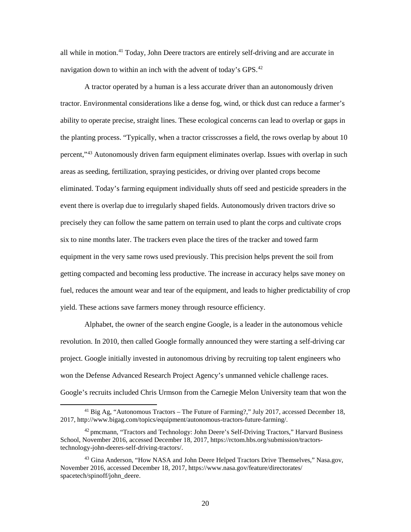all while in motion.<sup>41</sup> Today, John Deere tractors are entirely self-driving and are accurate in navigation down to within an inch with the advent of today's GPS.<sup>[42](#page-26-1)</sup>

 ability to operate precise, straight lines. These ecological concerns can lead to overlap or gaps in event there is overlap due to irregularly shaped fields. Autonomously driven tractors drive so precisely they can follow the same pattern on terrain used to plant the corps and cultivate crops six to nine months later. The trackers even place the tires of the tracker and towed farm fuel, reduces the amount wear and tear of the equipment, and leads to higher predictability of crop A tractor operated by a human is a less accurate driver than an autonomously driven tractor. Environmental considerations like a dense fog, wind, or thick dust can reduce a farmer's the planting process. "Typically, when a tractor crisscrosses a field, the rows overlap by about 10 percent,"[43](#page-26-2) Autonomously driven farm equipment eliminates overlap. Issues with overlap in such areas as seeding, fertilization, spraying pesticides, or driving over planted crops become eliminated. Today's farming equipment individually shuts off seed and pesticide spreaders in the equipment in the very same rows used previously. This precision helps prevent the soil from getting compacted and becoming less productive. The increase in accuracy helps save money on yield. These actions save farmers money through resource efficiency.

Alphabet, the owner of the search engine Google, is a leader in the autonomous vehicle revolution. In 2010, then called Google formally announced they were starting a self-driving car project. Google initially invested in autonomous driving by recruiting top talent engineers who won the Defense Advanced Research Project Agency's unmanned vehicle challenge races. Google's recruits included Chris Urmson from the Carnegie Melon University team that won the

<span id="page-26-0"></span><sup>&</sup>lt;sup>41</sup> Big Ag, "Autonomous Tractors – The Future of Farming?," July 2017, accessed December 18, 2017, [http://www.bigag.com/topics/equipment/autonomous-tractors-future-farming/](http://www.bigag.com/topics/equipment/autonomous-tractors-future-farming).

<span id="page-26-1"></span><sup>&</sup>lt;sup>42</sup> pmcmann, "Tractors and Technology: John Deere's Self-Driving Tractors," Harvard Business School, November 2016, accessed December 18, 2017, <https://rctom.hbs.org/submission/tractors>technology-john-deeres-self-driving-tractors/.

<span id="page-26-2"></span><sup>&</sup>lt;sup>43</sup> Gina Anderson, "How NASA and John Deere Helped Tractors Drive Themselves," [Nasa.gov](https://Nasa.gov), November 2016, accessed December 18, 2017, [https://www.nasa.gov/feature/directorates/](https://www.nasa.gov/feature/directorates) spacetech/spinoff/john\_deere.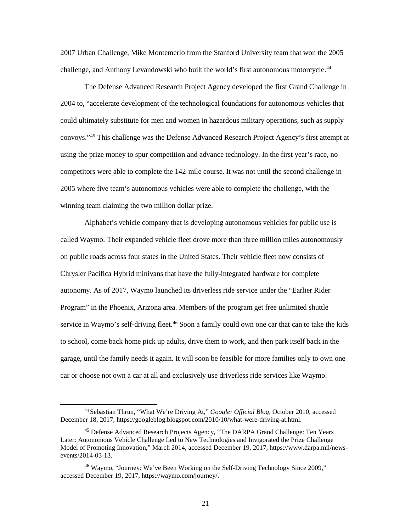challenge, and Anthony Levandowski who built the world's first autonomous motorcycle.<sup>44</sup> 2007 Urban Challenge, Mike Montemerlo from the Stanford University team that won the 2005

 could ultimately substitute for men and women in hazardous military operations, such as supply convoys."[45](#page-27-1) This challenge was the Defense Advanced Research Project Agency's first attempt at competitors were able to complete the 142-mile course. It was not until the second challenge in The Defense Advanced Research Project Agency developed the first Grand Challenge in 2004 to, "accelerate development of the technological foundations for autonomous vehicles that using the prize money to spur competition and advance technology. In the first year's race, no 2005 where five team's autonomous vehicles were able to complete the challenge, with the winning team claiming the two million dollar prize.

 Alphabet's vehicle company that is developing autonomous vehicles for public use is on public roads across four states in the United States. Their vehicle fleet now consists of autonomy. As of 2017, Waymo launched its driverless ride service under the "Earlier Rider Program" in the Phoenix, Arizona area. Members of the program get free unlimited shuttle service in Waymo's self-driving fleet.<sup>46</sup> Soon a family could own one car that can to take the kids called Waymo. Their expanded vehicle fleet drove more than three million miles autonomously Chrysler Pacifica Hybrid minivans that have the fully-integrated hardware for complete to school, come back home pick up adults, drive them to work, and then park itself back in the garage, until the family needs it again. It will soon be feasible for more families only to own one car or choose not own a car at all and exclusively use driverless ride services like Waymo.

<span id="page-27-0"></span><sup>44</sup> Sebastian Thrun, "What We're Driving At," *Google: Official Blog,* October 2010, accessed December 18, 2017, <https://googleblog.blogspot.com/2010/10/what-were-driving-at.html>.

<span id="page-27-1"></span> Later: Autonomous Vehicle Challenge Led to New Technologies and Invigorated the Prize Challenge 45 Defense Advanced Research Projects Agency, "The DARPA Grand Challenge: Ten Years Model of Promoting Innovation," March 2014, accessed December 19, 2017, <https://www.darpa.mil/news>events/2014-03-13.

<span id="page-27-2"></span><sup>&</sup>lt;sup>46</sup> Waymo, "Journey: We've Been Working on the Self-Driving Technology Since 2009," accessed December 19, 2017,<https://waymo.com/journey>/.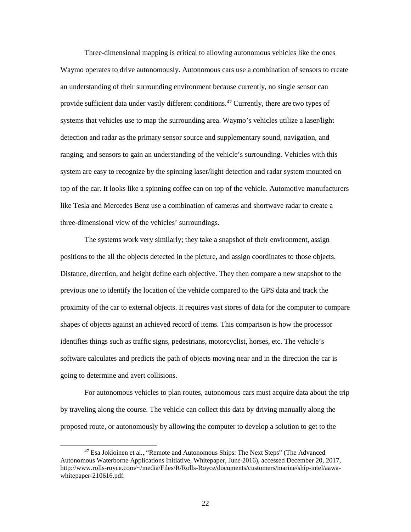Three-dimensional mapping is critical to allowing autonomous vehicles like the ones Waymo operates to drive autonomously. Autonomous cars use a combination of sensors to create provide sufficient data under vastly different conditions.<sup>[47](#page-28-0)</sup> Currently, there are two types of an understanding of their surrounding environment because currently, no single sensor can systems that vehicles use to map the surrounding area. Waymo's vehicles utilize a laser/light detection and radar as the primary sensor source and supplementary sound, navigation, and ranging, and sensors to gain an understanding of the vehicle's surrounding. Vehicles with this system are easy to recognize by the spinning laser/light detection and radar system mounted on top of the car. It looks like a spinning coffee can on top of the vehicle. Automotive manufacturers like Tesla and Mercedes Benz use a combination of cameras and shortwave radar to create a three-dimensional view of the vehicles' surroundings.

 proximity of the car to external objects. It requires vast stores of data for the computer to compare shapes of objects against an achieved record of items. This comparison is how the processor identifies things such as traffic signs, pedestrians, motorcyclist, horses, etc. The vehicle's The systems work very similarly; they take a snapshot of their environment, assign positions to the all the objects detected in the picture, and assign coordinates to those objects. Distance, direction, and height define each objective. They then compare a new snapshot to the previous one to identify the location of the vehicle compared to the GPS data and track the software calculates and predicts the path of objects moving near and in the direction the car is going to determine and avert collisions.

 by traveling along the course. The vehicle can collect this data by driving manually along the For autonomous vehicles to plan routes, autonomous cars must acquire data about the trip proposed route, or autonomously by allowing the computer to develop a solution to get to the

<span id="page-28-0"></span><sup>47</sup> Esa Jokioinen et al., "Remote and Autonomous Ships: The Next Steps" (The Advanced Autonomous Waterborne Applications Initiative, Whitepaper, June 2016), accessed December 20, 2017, <http://www.rolls-royce.com/~/media/Files/R/Rolls-Royce/documents/customers/marine/ship-intel/aawa>whitepaper-210616.pdf.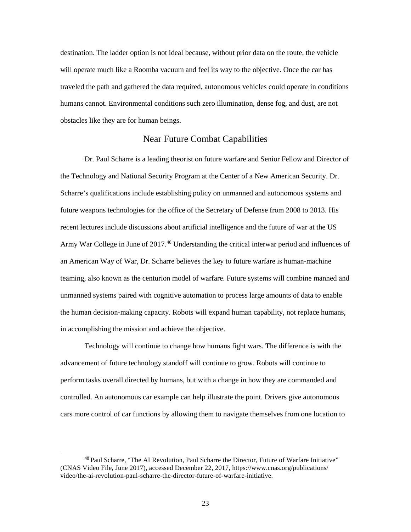<span id="page-29-0"></span> destination. The ladder option is not ideal because, without prior data on the route, the vehicle will operate much like a Roomba vacuum and feel its way to the objective. Once the car has traveled the path and gathered the data required, autonomous vehicles could operate in conditions humans cannot. Environmental conditions such zero illumination, dense fog, and dust, are not obstacles like they are for human beings.

#### Near Future Combat Capabilities

 Scharre's qualifications include establishing policy on unmanned and autonomous systems and recent lectures include discussions about artificial intelligence and the future of war at the US Army War College in June of 2017.<sup>[48](#page-29-1)</sup> Understanding the critical interwar period and influences of Dr. Paul Scharre is a leading theorist on future warfare and Senior Fellow and Director of the Technology and National Security Program at the Center of a New American Security. Dr. future weapons technologies for the office of the Secretary of Defense from 2008 to 2013. His an American Way of War, Dr. Scharre believes the key to future warfare is human-machine teaming, also known as the centurion model of warfare. Future systems will combine manned and unmanned systems paired with cognitive automation to process large amounts of data to enable the human decision-making capacity. Robots will expand human capability, not replace humans, in accomplishing the mission and achieve the objective.

 Technology will continue to change how humans fight wars. The difference is with the advancement of future technology standoff will continue to grow. Robots will continue to cars more control of car functions by allowing them to navigate themselves from one location to perform tasks overall directed by humans, but with a change in how they are commanded and controlled. An autonomous car example can help illustrate the point. Drivers give autonomous

<span id="page-29-1"></span><sup>48</sup> Paul Scharre, "The AI Revolution, Paul Scharre the Director, Future of Warfare Initiative" (CNAS Video File, June 2017), accessed December 22, 2017, <https://www.cnas.org/publications>/ video/the-ai-revolution-paul-scharre-the-director-future-of-warfare-initiative.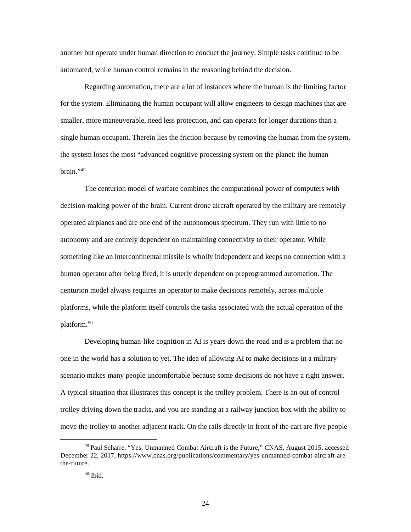another but operate under human direction to conduct the journey. Simple tasks continue to be automated, while human control remains in the reasoning behind the decision.

 Regarding automation, there are a lot of instances where the human is the limiting factor for the system. Eliminating the human occupant will allow engineers to design machines that are smaller, more maneuverable, need less protection, and can operate for longer durations than a the system loses the most "advanced cognitive processing system on the planet: the human single human occupant. Therein lies the friction because by removing the human from the system,  $brain$ ."49

 The centurion model of warfare combines the computational power of computers with operated airplanes and are one end of the autonomous spectrum. They run with little to no human operator after being fired, it is utterly dependent on preprogrammed automation. The centurion model always requires an operator to make decisions remotely, across multiple platforms, while the platform itself controls the tasks associated with the actual operation of the decision-making power of the brain. Current drone aircraft operated by the military are remotely autonomy and are entirely dependent on maintaining connectivity to their operator. While something like an intercontinental missile is wholly independent and keeps no connection with a platform.[50](#page-30-1)

 one in the world has a solution to yet. The idea of allowing AI to make decisions in a military A typical situation that illustrates this concept is the trolley problem. There is an out of control Developing human-like cognition in AI is years down the road and is a problem that no scenario makes many people uncomfortable because some decisions do not have a right answer. trolley driving down the tracks, and you are standing at a railway junction box with the ability to move the trolley to another adjacent track. On the rails directly in front of the cart are five people

<span id="page-30-1"></span><span id="page-30-0"></span> $49$  Paul Scharre, "Yes, Unmanned Combat Aircraft is the Future," CNAS, August 2015, accessed December 22, 2017, <https://www.cnas.org/publications/commentary/yes-unmanned-combat-aircraft-are>the-future.

 50 Ibid.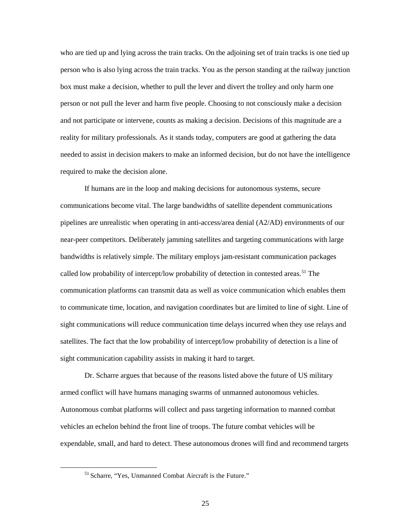who are tied up and lying across the train tracks. On the adjoining set of train tracks is one tied up person who is also lying across the train tracks. You as the person standing at the railway junction box must make a decision, whether to pull the lever and divert the trolley and only harm one and not participate or intervene, counts as making a decision. Decisions of this magnitude are a needed to assist in decision makers to make an informed decision, but do not have the intelligence person or not pull the lever and harm five people. Choosing to not consciously make a decision reality for military professionals. As it stands today, computers are good at gathering the data required to make the decision alone.

 communications become vital. The large bandwidths of satellite dependent communications If humans are in the loop and making decisions for autonomous systems, secure pipelines are unrealistic when operating in anti-access/area denial (A2/AD) environments of our near-peer competitors. Deliberately jamming satellites and targeting communications with large bandwidths is relatively simple. The military employs jam-resistant communication packages called low probability of intercept/low probability of detection in contested areas.<sup>51</sup> The communication platforms can transmit data as well as voice communication which enables them to communicate time, location, and navigation coordinates but are limited to line of sight. Line of sight communications will reduce communication time delays incurred when they use relays and satellites. The fact that the low probability of intercept/low probability of detection is a line of sight communication capability assists in making it hard to target.

 vehicles an echelon behind the front line of troops. The future combat vehicles will be Dr. Scharre argues that because of the reasons listed above the future of US military armed conflict will have humans managing swarms of unmanned autonomous vehicles. Autonomous combat platforms will collect and pass targeting information to manned combat expendable, small, and hard to detect. These autonomous drones will find and recommend targets

<span id="page-31-0"></span><sup>51</sup> Scharre, "Yes, Unmanned Combat Aircraft is the Future."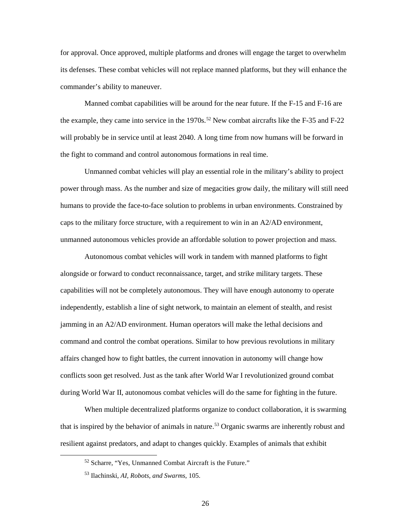its defenses. These combat vehicles will not replace manned platforms, but they will enhance the for approval. Once approved, multiple platforms and drones will engage the target to overwhelm commander's ability to maneuver.

 Manned combat capabilities will be around for the near future. If the F-15 and F-16 are will probably be in service until at least 2040. A long time from now humans will be forward in the fight to command and control autonomous formations in real time. the example, they came into service in the  $1970s$ .<sup>52</sup> New combat aircrafts like the F-35 and F-22

 caps to the military force structure, with a requirement to win in an A2/AD environment, Unmanned combat vehicles will play an essential role in the military's ability to project power through mass. As the number and size of megacities grow daily, the military will still need humans to provide the face-to-face solution to problems in urban environments. Constrained by unmanned autonomous vehicles provide an affordable solution to power projection and mass.

 alongside or forward to conduct reconnaissance, target, and strike military targets. These independently, establish a line of sight network, to maintain an element of stealth, and resist conflicts soon get resolved. Just as the tank after World War I revolutionized ground combat during World War II, autonomous combat vehicles will do the same for fighting in the future. Autonomous combat vehicles will work in tandem with manned platforms to fight capabilities will not be completely autonomous. They will have enough autonomy to operate jamming in an A2/AD environment. Human operators will make the lethal decisions and command and control the combat operations. Similar to how previous revolutions in military affairs changed how to fight battles, the current innovation in autonomy will change how

 resilient against predators, and adapt to changes quickly. Examples of animals that exhibit When multiple decentralized platforms organize to conduct collaboration, it is swarming that is inspired by the behavior of animals in nature.<sup>53</sup> Organic swarms are inherently robust and

<span id="page-32-1"></span><span id="page-32-0"></span>-

<sup>52</sup> Scharre, "Yes, Unmanned Combat Aircraft is the Future."

 53 Ilachinski, *AI, Robots, and Swarms*, 105.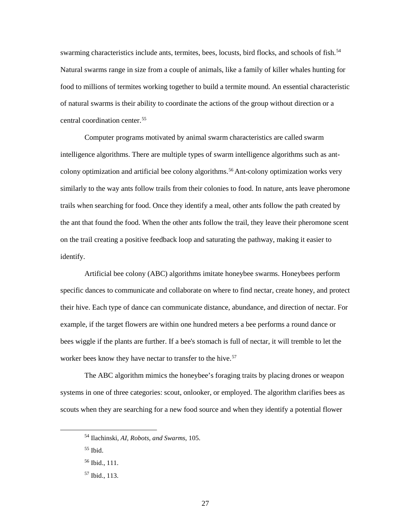food to millions of termites working together to build a termite mound. An essential characteristic of natural swarms is their ability to coordinate the actions of the group without direction or a swarming characteristics include ants, termites, bees, locusts, bird flocks, and schools of fish.<sup>[54](#page-33-0)</sup> Natural swarms range in size from a couple of animals, like a family of killer whales hunting for central coordination center.[55](#page-33-1)

 similarly to the way ants follow trails from their colonies to food. In nature, ants leave pheromone trails when searching for food. Once they identify a meal, other ants follow the path created by the ant that found the food. When the other ants follow the trail, they leave their pheromone scent on the trail creating a positive feedback loop and saturating the pathway, making it easier to Computer programs motivated by animal swarm characteristics are called swarm intelligence algorithms. There are multiple types of swarm intelligence algorithms such as ant-colony optimization and artificial bee colony algorithms.<sup>[56](#page-33-2)</sup> Ant-colony optimization works very identify.

 bees wiggle if the plants are further. If a bee's stomach is full of nectar, it will tremble to let the worker bees know they have nectar to transfer to the hive.<sup>57</sup> Artificial bee colony (ABC) algorithms imitate honeybee swarms. Honeybees perform specific dances to communicate and collaborate on where to find nectar, create honey, and protect their hive. Each type of dance can communicate distance, abundance, and direction of nectar. For example, if the target flowers are within one hundred meters a bee performs a round dance or

 The ABC algorithm mimics the honeybee's foraging traits by placing drones or weapon scouts when they are searching for a new food source and when they identify a potential flower systems in one of three categories: scout, onlooker, or employed. The algorithm clarifies bees as

<span id="page-33-0"></span> 54 Ilachinski, *AI, Robots, and Swarms*, 105.

<span id="page-33-1"></span> 55 Ibid.

<span id="page-33-2"></span> 56 Ibid., 111.

<span id="page-33-3"></span> 57 Ibid.*,* 113.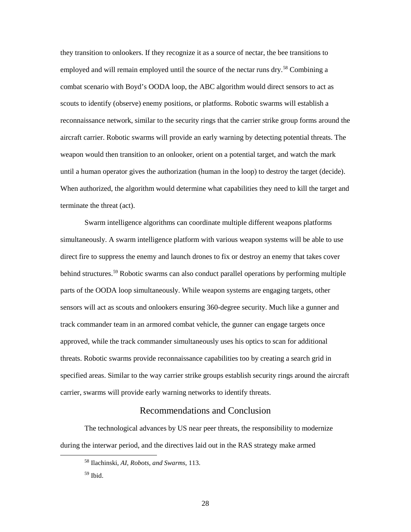<span id="page-34-0"></span> they transition to onlookers. If they recognize it as a source of nectar, the bee transitions to employed and will remain employed until the source of the nectar runs dry.<sup>58</sup> Combining a aircraft carrier. Robotic swarms will provide an early warning by detecting potential threats. The until a human operator gives the authorization (human in the loop) to destroy the target (decide). When authorized, the algorithm would determine what capabilities they need to kill the target and combat scenario with Boyd's OODA loop, the ABC algorithm would direct sensors to act as scouts to identify (observe) enemy positions, or platforms. Robotic swarms will establish a reconnaissance network, similar to the security rings that the carrier strike group forms around the weapon would then transition to an onlooker, orient on a potential target, and watch the mark terminate the threat (act).

behind structures.<sup>59</sup> Robotic swarms can also conduct parallel operations by performing multiple approved, while the track commander simultaneously uses his optics to scan for additional specified areas. Similar to the way carrier strike groups establish security rings around the aircraft Swarm intelligence algorithms can coordinate multiple different weapons platforms simultaneously. A swarm intelligence platform with various weapon systems will be able to use direct fire to suppress the enemy and launch drones to fix or destroy an enemy that takes cover parts of the OODA loop simultaneously. While weapon systems are engaging targets, other sensors will act as scouts and onlookers ensuring 360-degree security. Much like a gunner and track commander team in an armored combat vehicle, the gunner can engage targets once threats. Robotic swarms provide reconnaissance capabilities too by creating a search grid in carrier, swarms will provide early warning networks to identify threats.

#### Recommendations and Conclusion

 The technological advances by US near peer threats, the responsibility to modernize during the interwar period, and the directives laid out in the RAS strategy make armed

<span id="page-34-2"></span><span id="page-34-1"></span>-

<sup>58</sup> Ilachinski, *AI, Robots, and Swarms*, 113.

 59 Ibid.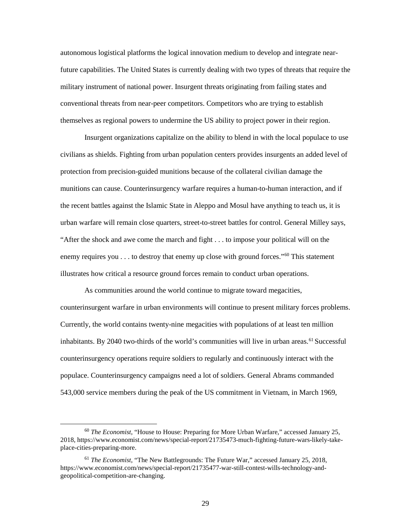autonomous logistical platforms the logical innovation medium to develop and integrate near- future capabilities. The United States is currently dealing with two types of threats that require the military instrument of national power. Insurgent threats originating from failing states and conventional threats from near-peer competitors. Competitors who are trying to establish themselves as regional powers to undermine the US ability to project power in their region.

 Insurgent organizations capitalize on the ability to blend in with the local populace to use civilians as shields. Fighting from urban population centers provides insurgents an added level of the recent battles against the Islamic State in Aleppo and Mosul have anything to teach us, it is urban warfare will remain close quarters, street-to-street battles for control. General Milley says, protection from precision-guided munitions because of the collateral civilian damage the munitions can cause. Counterinsurgency warfare requires a human-to-human interaction, and if "After the shock and awe come the march and fight . . . to impose your political will on the enemy requires you  $\dots$  to destroy that enemy up close with ground forces."<sup>60</sup> This statement illustrates how critical a resource ground forces remain to conduct urban operations.

 Currently, the world contains twenty-nine megacities with populations of at least ten million populace. Counterinsurgency campaigns need a lot of soldiers. General Abrams commanded 543,000 service members during the peak of the US commitment in Vietnam, in March 1969, As communities around the world continue to migrate toward megacities, counterinsurgent warfare in urban environments will continue to present military forces problems. inhabitants. By 2040 two-thirds of the world's communities will live in urban areas.<sup>[61](#page-35-1)</sup> Successful counterinsurgency operations require soldiers to regularly and continuously interact with the

<span id="page-35-0"></span> <sup>60</sup>*The Economist*, "House to House: Preparing for More Urban Warfare," accessed January 25, 2018,<https://www.economist.com/news/special-report/21735473-much-fighting-future-wars-likely-take>place-cities-preparing-more.

<span id="page-35-1"></span><sup>61</sup>*The Economist*, "The New Battlegrounds: The Future War," accessed January 25, 2018, <https://www.economist.com/news/special-report/21735477-war-still-contest-wills-technology-and>geopolitical-competition-are-changing.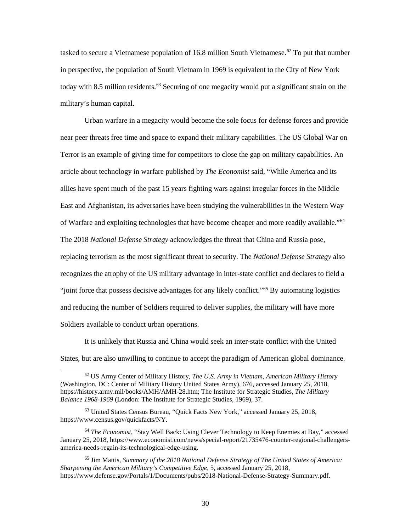tasked to secure a Vietnamese population of 16.8 million South Vietnamese.<sup>[62](#page-36-0)</sup> To put that number in perspective, the population of South Vietnam in 1969 is equivalent to the City of New York today with 8.5 million residents.<sup>63</sup> Securing of one megacity would put a significant strain on the military's human capital.

 Terror is an example of giving time for competitors to close the gap on military capabilities. An article about technology in warfare published by *The Economist* said, "While America and its The 2018 *National Defense Strategy* acknowledges the threat that China and Russia pose, replacing terrorism as the most significant threat to security. The *National Defense Strategy* also recognizes the atrophy of the US military advantage in inter-state conflict and declares to field a Urban warfare in a megacity would become the sole focus for defense forces and provide near peer threats free time and space to expand their military capabilities. The US Global War on allies have spent much of the past 15 years fighting wars against irregular forces in the Middle East and Afghanistan, its adversaries have been studying the vulnerabilities in the Western Way of Warfare and exploiting technologies that have become cheaper and more readily available."[64](#page-36-2)  "joint force that possess decisive advantages for any likely conflict."[65](#page-36-3) By automating logistics and reducing the number of Soldiers required to deliver supplies, the military will have more Soldiers available to conduct urban operations.

 It is unlikely that Russia and China would seek an inter-state conflict with the United States, but are also unwilling to continue to accept the paradigm of American global dominance.

<span id="page-36-0"></span> 62 US Army Center of Military History, *The U.S. Army in Vietnam*, *American Military History*  (Washington, DC: Center of Military History United States Army), 676, accessed January 25, 2018, *Balance 1968-1969* (London: The Institute for Strategic Studies, 1969), 37. [https://history.army.mil/books/AMH/AMH-28.htm;](https://history.army.mil/books/AMH/AMH-28.htm) The Institute for Strategic Studies, *The Military* 

<span id="page-36-1"></span><sup>63</sup> United States Census Bureau, "Quick Facts New York," accessed January 25, 2018, <https://www.census.gov/quickfacts/NY>.

<span id="page-36-2"></span><sup>64</sup>*The Economist*, "Stay Well Back: Using Clever Technology to Keep Enemies at Bay," accessed January 25, 2018, <https://www.economist.com/news/special-report/21735476-counter-regional-challengers>america-needs-regain-its-technological-edge-using.

<span id="page-36-3"></span><sup>65</sup> Jim Mattis, *Summary of the 2018 National Defense Strategy of The United States of America: Sharpening the American Military's Competitive Edge*, 5, accessed January 25, 2018, [https://www.defense.gov/Portals/1/Documents/pubs/2018-National-Defense-Strategy-Summary.pdf.](https://www.defense.gov/Portals/1/Documents/pubs/2018-National-Defense-Strategy-Summary.pdf)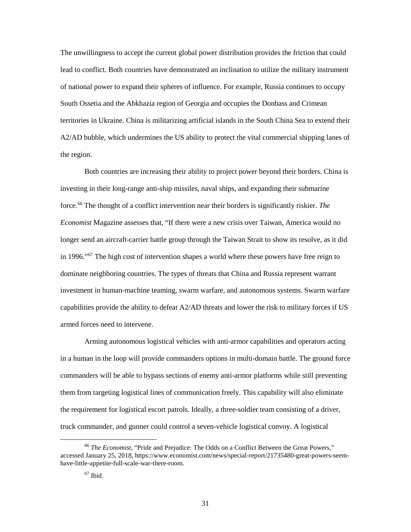of national power to expand their spheres of influence. For example, Russia continues to occupy A2/AD bubble, which undermines the US ability to protect the vital commercial shipping lanes of The unwillingness to accept the current global power distribution provides the friction that could lead to conflict. Both countries have demonstrated an inclination to utilize the military instrument South Ossetia and the Abkhazia region of Georgia and occupies the Donbass and Crimean territories in Ukraine. China is militarizing artificial islands in the South China Sea to extend their the region.

 investing in their long-range anti-ship missiles, naval ships, and expanding their submarine force.[66](#page-37-0) The thought of a conflict intervention near their borders is significantly riskier. *The*  longer send an aircraft-carrier battle group through the Taiwan Strait to show its resolve, as it did dominate neighboring countries. The types of threats that China and Russia represent warrant capabilities provide the ability to defeat A2/AD threats and lower the risk to military forces if US armed forces need to intervene. Both countries are increasing their ability to project power beyond their borders. China is *Economist* Magazine assesses that, "If there were a new crisis over Taiwan, America would no in 1996."<sup>67</sup> The high cost of intervention shapes a world where these powers have free reign to investment in human-machine teaming, swarm warfare, and autonomous systems. Swarm warfare

 in a human in the loop will provide commanders options in multi-domain battle. The ground force them from targeting logistical lines of communication freely. This capability will also eliminate truck commander, and gunner could control a seven-vehicle logistical convoy. A logistical Arming autonomous logistical vehicles with anti-armor capabilities and operators acting commanders will be able to bypass sections of enemy anti-armor platforms while still preventing the requirement for logistical escort patrols. Ideally, a three-soldier team consisting of a driver,

<span id="page-37-1"></span><span id="page-37-0"></span><sup>66</sup>*The Economist*, "Pride and Prejudice: The Odds on a Conflict Between the Great Powers," accessed January 25, 2018,<https://www.economist.com/news/special-report/21735480-great-powers-seem>have-little-appetite-full-scale-war-there-room.

 67 Ibid.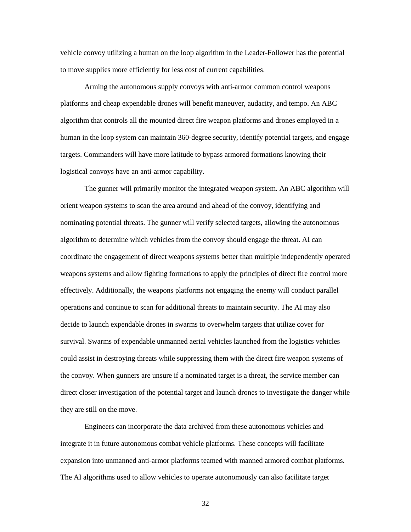to move supplies more efficiently for less cost of current capabilities. vehicle convoy utilizing a human on the loop algorithm in the Leader-Follower has the potential

 algorithm that controls all the mounted direct fire weapon platforms and drones employed in a human in the loop system can maintain 360-degree security, identify potential targets, and engage Arming the autonomous supply convoys with anti-armor common control weapons platforms and cheap expendable drones will benefit maneuver, audacity, and tempo. An ABC targets. Commanders will have more latitude to bypass armored formations knowing their logistical convoys have an anti-armor capability.

 orient weapon systems to scan the area around and ahead of the convoy, identifying and nominating potential threats. The gunner will verify selected targets, allowing the autonomous algorithm to determine which vehicles from the convoy should engage the threat. AI can The gunner will primarily monitor the integrated weapon system. An ABC algorithm will coordinate the engagement of direct weapons systems better than multiple independently operated weapons systems and allow fighting formations to apply the principles of direct fire control more effectively. Additionally, the weapons platforms not engaging the enemy will conduct parallel operations and continue to scan for additional threats to maintain security. The AI may also decide to launch expendable drones in swarms to overwhelm targets that utilize cover for survival. Swarms of expendable unmanned aerial vehicles launched from the logistics vehicles could assist in destroying threats while suppressing them with the direct fire weapon systems of the convoy. When gunners are unsure if a nominated target is a threat, the service member can direct closer investigation of the potential target and launch drones to investigate the danger while they are still on the move.

Engineers can incorporate the data archived from these autonomous vehicles and integrate it in future autonomous combat vehicle platforms. These concepts will facilitate expansion into unmanned anti-armor platforms teamed with manned armored combat platforms. The AI algorithms used to allow vehicles to operate autonomously can also facilitate target

32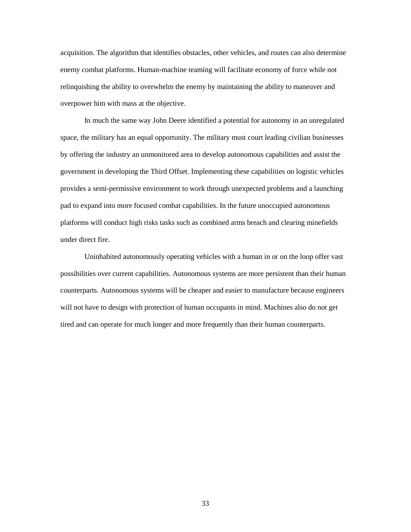acquisition. The algorithm that identifies obstacles, other vehicles, and routes can also determine enemy combat platforms. Human-machine teaming will facilitate economy of force while not relinquishing the ability to overwhelm the enemy by maintaining the ability to maneuver and overpower him with mass at the objective.

 pad to expand into more focused combat capabilities. In the future unoccupied autonomous platforms will conduct high risks tasks such as combined arms breach and clearing minefields In much the same way John Deere identified a potential for autonomy in an unregulated space, the military has an equal opportunity. The military must court leading civilian businesses by offering the industry an unmonitored area to develop autonomous capabilities and assist the government in developing the Third Offset. Implementing these capabilities on logistic vehicles provides a semi-permissive environment to work through unexpected problems and a launching under direct fire.

 will not have to design with protection of human occupants in mind. Machines also do not get Uninhabited autonomously operating vehicles with a human in or on the loop offer vast possibilities over current capabilities. Autonomous systems are more persistent than their human counterparts. Autonomous systems will be cheaper and easier to manufacture because engineers tired and can operate for much longer and more frequently than their human counterparts.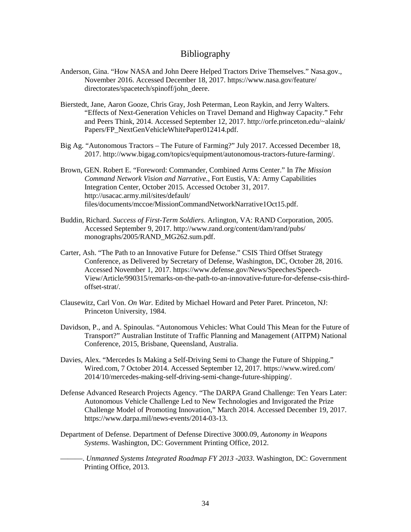### Bibliography

- <span id="page-40-0"></span> Anderson, Gina. "How NASA and John Deere Helped Tractors Drive Themselves." [Nasa.gov.](https://Nasa.gov), November 2016. Accessed December 18, 2017. [https://www.nasa.gov/feature/](https://www.nasa.gov/feature) directorates/spacetech/spinoff/john\_deere.
- Bierstedt, Jane, Aaron Gooze, Chris Gray, Josh Peterman, Leon Raykin, and Jerry Walters. "Effects of Next-Generation Vehicles on Travel Demand and Highway Capacity." Fehr and Peers Think, 2014. Accessed September 12, 2017. [http://orfe.princeton.edu/~alaink/](http://orfe.princeton.edu/~alaink) Papers/FP\_NextGenVehicleWhitePaper012414.pdf.
- Big Ag. "Autonomous Tractors The Future of Farming?" July 2017. Accessed December 18, 2017. <http://www.bigag.com/topics/equipment/autonomous-tractors-future-farming>/.
- Brown, GEN. Robert E. "Foreword: Commander, Combined Arms Center." In *The Mission Command Network Vision and Narrative*., Fort Eustis, VA: Army Capabilities Integration Center, October 2015. Accessed October 31, 2017. [http://usacac.army.mil/sites/default/](http://usacac.army.mil/sites/default) files/documents/mccoe/MissionCommandNetworkNarrative1Oct15.pdf.
- Buddin, Richard. *Success of First-Term Soldiers*. Arlington, VA: RAND Corporation, 2005. Accessed September 9, 2017. <http://www.rand.org/content/dam/rand/pubs>/ monographs/2005/RAND\_MG262.sum.pdf.
- Carter, Ash. "The Path to an Innovative Future for Defense." CSIS Third Offset Strategy Conference, as Delivered by Secretary of Defense, Washington, DC, October 28, 2016. Accessed November 1, 2017. [https://www.defense.gov/News/Speeches/Speech-](https://www.defense.gov/News/Speeches/Speech)View/Article/990315/remarks-on-the-path-to-an-innovative-future-for-defense-csis-thirdoffset-strat/.
- Clausewitz, Carl Von. *On War.* Edited by Michael Howard and Peter Paret. Princeton, NJ: Princeton University, 1984.
- Davidson, P., and A. Spinoulas. "Autonomous Vehicles: What Could This Mean for the Future of Transport?" Australian Institute of Traffic Planning and Management (AITPM) National Conference, 2015, Brisbane, Queensland, Australia.
- [Wired.com](https://Wired.com), 7 October 2014. Accessed September 12, 2017. [https://www.wired.com/](https://www.wired.com) Davies, Alex. "Mercedes Is Making a Self-Driving Semi to Change the Future of Shipping." 2014/10/mercedes-making-self-driving-semi-change-future-shipping/.
- Defense Advanced Research Projects Agency. "The DARPA Grand Challenge: Ten Years Later: Autonomous Vehicle Challenge Led to New Technologies and Invigorated the Prize Challenge Model of Promoting Innovation," March 2014. Accessed December 19, 2017. [https://www.darpa.mil/news-events/2014-03-13.](https://www.darpa.mil/news-events/2014-03-13)
- Department of Defense. Department of Defense Directive 3000.09, *Autonomy in Weapons Systems*. Washington, DC: Government Printing Office, 2012.
- ———. *Unmanned Systems Integrated Roadmap FY 2013 -2033*. Washington, DC: Government Printing Office, 2013.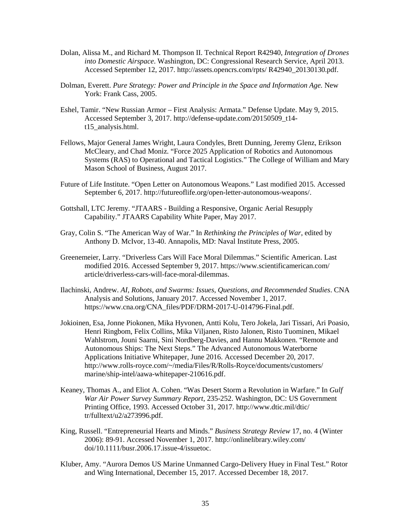- Dolan, Alissa M., and Richard M. Thompson II. Technical Report R42940, *Integration of Drones into Domestic Airspace*. Washington, DC: Congressional Research Service, April 2013. Accessed September 12, 2017.<http://assets.opencrs.com/rpts>/ R42940\_20130130.pdf.
- Dolman, Everett. *Pure Strategy: Power and Principle in the Space and Information Age.* New York: Frank Cass, 2005.
- Eshel, Tamir. "New Russian Armor First Analysis: Armata." Defense Update. May 9, 2015. Accessed September 3, 2017. [http://defense-update.com/20150509\\_t14](http://defense-update.com/20150509_t14) t15\_analysis.html.
- Fellows, Major General James Wright, Laura Condyles, Brett Dunning, Jeremy Glenz, Erikson McCleary, and Chad Moniz. "Force 2025 Application of Robotics and Autonomous Systems (RAS) to Operational and Tactical Logistics." The College of William and Mary Mason School of Business, August 2017.
- Future of Life Institute. "Open Letter on Autonomous Weapons." Last modified 2015. Accessed September 6, 2017.<http://futureoflife.org/open-letter-autonomous-weapons>/.
- Capability." JTAARS Capability White Paper, May 2017. Gottshall, LTC Jeremy. "JTAARS - Building a Responsive, Organic Aerial Resupply
- Gray, Colin S. "The American Way of War." In *Rethinking the Principles of War*, edited by Anthony D. McIvor, 13-40. Annapolis, MD: Naval Institute Press, 2005.
- Greenemeier, Larry. "Driverless Cars Will Face Moral Dilemmas." Scientific American. Last modified 2016. Accessed September 9, 2017. <https://www.scientificamerican.com>/ article/driverless-cars-will-face-moral-dilemmas.
- Ilachinski, Andrew. *AI, Robots, and Swarms: Issues, Questions, and Recommended Studies*. CNA Analysis and Solutions, January 2017. Accessed November 1, 2017. [https://www.cna.org/CNA\\_files/PDF/DRM-2017-U-014796-Final.pdf.](https://www.cna.org/CNA_files/PDF/DRM-2017-U-014796-Final.pdf)
- Jokioinen, Esa, Jonne Piokonen, Mika Hyvonen, Antti Kolu, Tero Jokela, Jari Tissari, Ari Poasio, Applications Initiative Whitepaper, June 2016. Accessed December 20, 2017. Henri Ringbom, Felix Collins, Mika Viljanen, Risto Jalonen, Risto Tuominen, Mikael Wahlstrom, Jouni Saarni, Sini Nordberg-Davies, and Hannu Makkonen. "Remote and Autonomous Ships: The Next Steps." The Advanced Autonomous Waterborne <http://www.rolls-royce.com/~/media/Files/R/Rolls-Royce/documents/customers>/ marine/ship-intel/aawa-whitepaper-210616.pdf.
- Keaney, Thomas A., and Eliot A. Cohen. "Was Desert Storm a Revolution in Warfare." In *Gulf War Air Power Survey Summary Report*, 235-252. Washington, DC: US Government Printing Office, 1993. Accessed October 31, 2017. <http://www.dtic.mil/dtic>/ tr/fulltext/u2/a273996.pdf.
- King, Russell. "Entrepreneurial Hearts and Minds." *Business Strategy Review* 17, no. 4 (Winter 2006): 89-91. Accessed November 1, 2017. [http://onlinelibrary.wiley.com/](http://onlinelibrary.wiley.com) doi/10.1111/busr.2006.17.issue-4/issuetoc.
- Kluber, Amy. "Aurora Demos US Marine Unmanned Cargo-Delivery Huey in Final Test." Rotor and Wing International, December 15, 2017. Accessed December 18, 2017.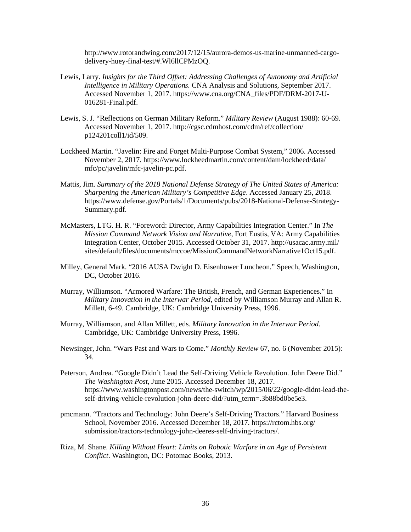<http://www.rotorandwing.com/2017/12/15/aurora-demos-us-marine-unmanned-cargo>delivery-huey-final-test/#.Wl6llCPMzOQ.

- Lewis, Larry. *Insights for the Third Offset: Addressing Challenges of Autonomy and Artificial Intelligence in Military Operations.* CNA Analysis and Solutions, September 2017. Accessed November 1, 2017. [https://www.cna.org/CNA\\_files/PDF/DRM-2017-U](https://www.cna.org/CNA_files/PDF/DRM-2017-U)-016281-Final.pdf.
- Lewis, S. J. "Reflections on German Military Reform." *Military Review* (August 1988): 60-69. Accessed November 1, 2017. <http://cgsc.cdmhost.com/cdm/ref/collection>/ p124201coll1/id/509.
- Lockheed Martin. "Javelin: Fire and Forget Multi-Purpose Combat System," 2006. Accessed November 2, 2017. <https://www.lockheedmartin.com/content/dam/lockheed/data>/ mfc/pc/javelin/mfc-javelin-pc.pdf.
- Mattis, Jim. *Summary of the 2018 National Defense Strategy of The United States of America: Sharpening the American Military's Competitive Edge*. Accessed January 25, 2018. [https://www.defense.gov/Portals/1/Documents/pubs/2018-National-Defense-Strategy-](https://www.defense.gov/Portals/1/Documents/pubs/2018-National-Defense-Strategy)Summary.pdf.
- McMasters, LTG. H. R. "Foreword: Director, Army Capabilities Integration Center." In *The Mission Command Network Vision and Narrative*, Fort Eustis, VA: Army Capabilities Integration Center, October 2015. Accessed October 31, 2017.<http://usacac.army.mil>/ sites/default/files/documents/mccoe/MissionCommandNetworkNarrative1Oct15.pdf.
- DC, October 2016. Milley, General Mark. "2016 AUSA Dwight D. Eisenhower Luncheon." Speech, Washington,
- Murray, Williamson. "Armored Warfare: The British, French, and German Experiences." In *Military Innovation in the Interwar Period,* edited by Williamson Murray and Allan R. Millett, 6-49. Cambridge, UK: Cambridge University Press, 1996.
- Murray, Williamson, and Allan Millett, eds. *Military Innovation in the Interwar Period*. Cambridge, UK: Cambridge University Press, 1996.
- Newsinger, John. "Wars Past and Wars to Come." *Monthly Review* 67, no. 6 (November 2015): 34.
- Peterson, Andrea. "Google Didn't Lead the Self-Driving Vehicle Revolution. John Deere Did." *The Washington Post*, June 2015. Accessed December 18, 2017. <https://www.washingtonpost.com/news/the-switch/wp/2015/06/22/google-didnt-lead-the>self-driving-vehicle-revolution-john-deere-did/?utm\_term=.3b88bd0be5e3.
- pmcmann. "Tractors and Technology: John Deere's Self-Driving Tractors." Harvard Business School, November 2016. Accessed December 18, 2017. [https://rctom.hbs.org/](https://rctom.hbs.org) submission/tractors-technology-john-deeres-self-driving-tractors/.
- Riza, M. Shane. *Killing Without Heart: Limits on Robotic Warfare in an Age of Persistent Conflict*. Washington, DC: Potomac Books, 2013.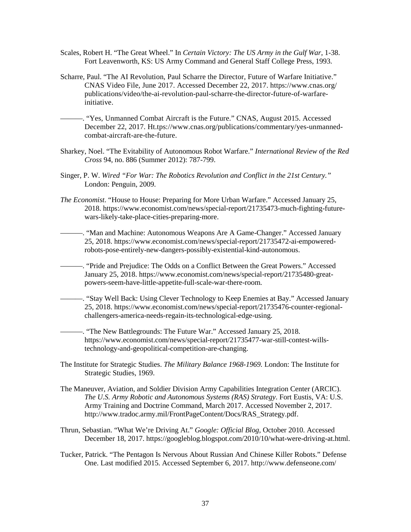- Scales, Robert H. "The Great Wheel." In *Certain Victory: The US Army in the Gulf War*, 1-38. Fort Leavenworth, KS: US Army Command and General Staff College Press, 1993.
- Scharre, Paul. "The AI Revolution, Paul Scharre the Director, Future of Warfare Initiative." CNAS Video File, June 2017. Accessed December 22, 2017. [https://www.cnas.org/](https://www.cnas.org) publications/video/the-ai-revolution-paul-scharre-the-director-future-of-warfareinitiative.

 ———. "Yes, Unmanned Combat Aircraft is the Future." CNAS, August 2015. Accessed December 22, 2017. [Ht.tps://www.cnas.org/publications/commentary/yes-unmanned](https://Ht.tps://www.cnas.org/publications/commentary/yes-unmanned)combat-aircraft-are-the-future.

- Sharkey, Noel. "The Evitability of Autonomous Robot Warfare." *International Review of the Red Cross* 94, no. 886 (Summer 2012): 787-799.
- London: Penguin, 2009. Singer, P. W. *Wired "For War: The Robotics Revolution and Conflict in the 21st Century."*
- *The Economist*. "House to House: Preparing for More Urban Warfare." Accessed January 25, 2018. <https://www.economist.com/news/special-report/21735473-much-fighting-future>wars-likely-take-place-cities-preparing-more.
- ———. "Man and Machine: Autonomous Weapons Are A Game-Changer." Accessed January 25, 2018.<https://www.economist.com/news/special-report/21735472-ai-empowered>robots-pose-entirely-new-dangers-possibly-existential-kind-autonomous.
- ———. "Pride and Prejudice: The Odds on a Conflict Between the Great Powers." Accessed January 25, 2018.<https://www.economist.com/news/special-report/21735480-great>powers-seem-have-little-appetite-full-scale-war-there-room.
- ———. "Stay Well Back: Using Clever Technology to Keep Enemies at Bay." Accessed January 25, 2018.<https://www.economist.com/news/special-report/21735476-counter-regional>challengers-america-needs-regain-its-technological-edge-using.
	- ———. "The New Battlegrounds: The Future War." Accessed January 25, 2018. <https://www.economist.com/news/special-report/21735477-war-still-contest-wills>technology-and-geopolitical-competition-are-changing.
- The Institute for Strategic Studies. *The Military Balance 1968-1969.* London: The Institute for Strategic Studies, 1969.
- The Maneuver, Aviation, and Soldier Division Army Capabilities Integration Center (ARCIC). *The U.S. Army Robotic and Autonomous Systems (RAS) Strategy*. Fort Eustis, VA: U.S. Army Training and Doctrine Command, March 2017. Accessed November 2, 2017. [http://www.tradoc.army.mil/FrontPageContent/Docs/RAS\\_Strategy.pdf](http://www.tradoc.army.mil/FrontPageContent/Docs/RAS_Strategy.pdf).
- Thrun, Sebastian. "What We're Driving At." *Google: Official Blog,* October 2010. Accessed December 18, 2017. [https://googleblog.blogspot.com/2010/10/what-were-driving-at.html.](https://googleblog.blogspot.com/2010/10/what-were-driving-at.html)
- Tucker, Patrick. "The Pentagon Is Nervous About Russian And Chinese Killer Robots." Defense One. Last modified 2015. Accessed September 6, 2017. [http://www.defenseone.com/](http://www.defenseone.com)